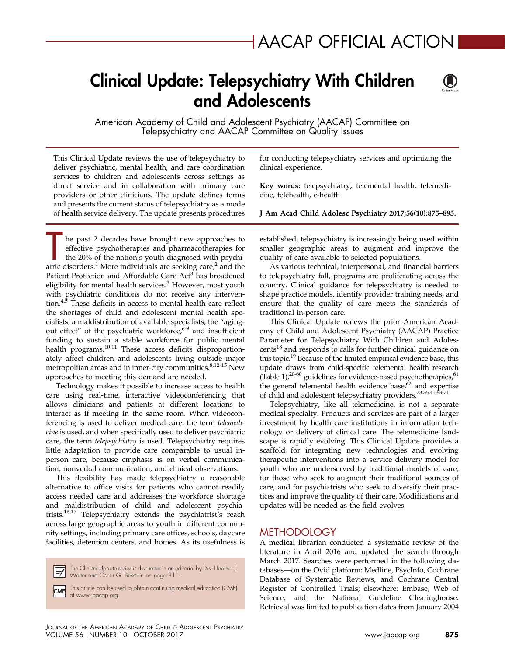# Clinical Update: Telepsychiatry With Children and Adolescents



American Academy of Child and Adolescent Psychiatry (AACAP) Committee on Telepsychiatry and AACAP Committee on Quality Issues

This Clinical Update reviews the use of telepsychiatry to deliver psychiatric, mental health, and care coordination services to children and adolescents across settings as direct service and in collaboration with primary care providers or other clinicians. The update defines terms and presents the current status of telepsychiatry as a mode of health service delivery. The update presents procedures

he past 2 decades have brought new approaches to effective psychotherapies and pharmacotherapies for the 20% of the nation's youth diagnosed with psychi-atric disorders.<sup>[1](#page-14-0)</sup> More individuals are seeking care,<sup>[2](#page-14-0)</sup> and the Patient Protection and Affordable Care Act<sup>[3](#page-14-0)</sup> has broadened eligibility for mental health services.<sup>[3](#page-14-0)</sup> However, most youth with psychiatric conditions do not receive any intervention. $4,5$  These deficits in access to mental health care reflect the shortages of child and adolescent mental health specialists, a maldistribution of available specialists, the "aging-out effect" of the psychiatric workforce,<sup>[6-9](#page-14-0)</sup> and insufficient funding to sustain a stable workforce for public mental health programs.<sup>[10,11](#page-15-0)</sup> These access deficits disproportionately affect children and adolescents living outside major metropolitan areas and in inner-city communities.<sup>[8,12-15](#page-14-0)</sup> New approaches to meeting this demand are needed.

Technology makes it possible to increase access to health care using real-time, interactive videoconferencing that allows clinicians and patients at different locations to interact as if meeting in the same room. When videoconferencing is used to deliver medical care, the term telemedicine is used, and when specifically used to deliver psychiatric care, the term telepsychiatry is used. Telepsychiatry requires little adaptation to provide care comparable to usual inperson care, because emphasis is on verbal communication, nonverbal communication, and clinical observations.

This flexibility has made telepsychiatry a reasonable alternative to office visits for patients who cannot readily access needed care and addresses the workforce shortage and maldistribution of child and adolescent psychiatrists.[16,17](#page-15-0) Telepsychiatry extends the psychiatrist's reach across large geographic areas to youth in different community settings, including primary care offices, schools, daycare facilities, detention centers, and homes. As its usefulness is

The Clinical Update series is discussed in an editorial by Drs. Heather J. Walter and Oscar G. Bukstein on page 811.

This article can be used to obtain continuing medical education (CME) **CME** at [www.jaacap.org.](http://www.jaacap.org)

for conducting telepsychiatry services and optimizing the clinical experience.

Key words: telepsychiatry, telemental health, telemedicine, telehealth, e-health

J Am Acad Child Adolesc Psychiatry 2017;56(10):875–893.

established, telepsychiatry is increasingly being used within smaller geographic areas to augment and improve the quality of care available to selected populations.

As various technical, interpersonal, and financial barriers to telepsychiatry fall, programs are proliferating across the country. Clinical guidance for telepsychiatry is needed to shape practice models, identify provider training needs, and ensure that the quality of care meets the standards of traditional in-person care.

This Clinical Update renews the prior American Academy of Child and Adolescent Psychiatry (AACAP) Practice Parameter for Telepsychiatry With Children and Adoles-cents<sup>[18](#page-15-0)</sup> and responds to calls for further clinical guidance on this topic[.19](#page-15-0) Because of the limited empirical evidence base, this update draws from child-specific telemental health research [\(Table 1\)](#page-1-0), $^{20-60}$  $^{20-60}$  $^{20-60}$  guidelines for evidence-based psychotherapies, $^{61}$ the general telemental health evidence base, $62$  and expertise of child and adolescent telepsychiatry providers[.23,35,41,63-71](#page-15-0)

Telepsychiatry, like all telemedicine, is not a separate medical specialty. Products and services are part of a larger investment by health care institutions in information technology or delivery of clinical care. The telemedicine landscape is rapidly evolving. This Clinical Update provides a scaffold for integrating new technologies and evolving therapeutic interventions into a service delivery model for youth who are underserved by traditional models of care, for those who seek to augment their traditional sources of care, and for psychiatrists who seek to diversify their practices and improve the quality of their care. Modifications and updates will be needed as the field evolves.

## **METHODOLOGY**

A medical librarian conducted a systematic review of the literature in April 2016 and updated the search through March 2017. Searches were performed in the following databases—on the Ovid platform: Medline, PsycInfo, Cochrane Database of Systematic Reviews, and Cochrane Central Register of Controlled Trials; elsewhere: Embase, Web of Science, and the National Guideline Clearinghouse. Retrieval was limited to publication dates from January 2004

JOURNAL OF THE AMERICAN ACADEMY OF CHILD & ADOLESCENT PSYCHIATRY VOLUME 56 NUMBER 10 OCTOBER 2017 [www.jaacap.org](http://www.jaacap.org) 875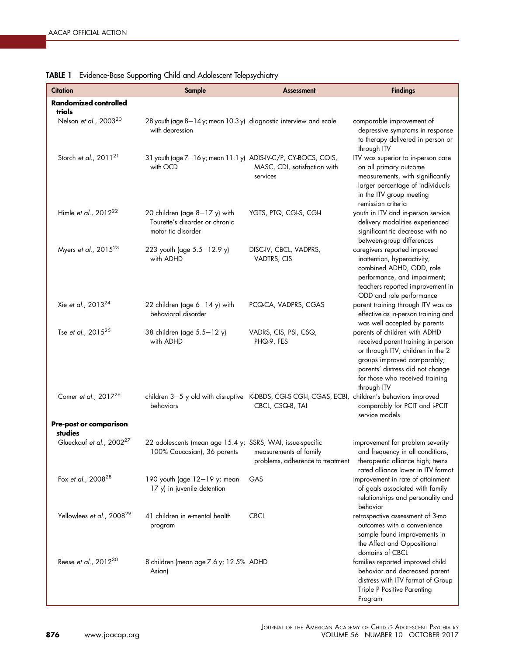| . .<br><b>Citation</b>                | Sample                                                                                    | <b>Assessment</b>                                                                                                     | <b>Findings</b>                                                                                                                                                                                                               |
|---------------------------------------|-------------------------------------------------------------------------------------------|-----------------------------------------------------------------------------------------------------------------------|-------------------------------------------------------------------------------------------------------------------------------------------------------------------------------------------------------------------------------|
| <b>Randomized controlled</b>          |                                                                                           |                                                                                                                       |                                                                                                                                                                                                                               |
| trials                                |                                                                                           |                                                                                                                       |                                                                                                                                                                                                                               |
| Nelson et al., 2003 <sup>20</sup>     | 28 youth (age 8-14 y; mean 10.3 y) diagnostic interview and scale<br>with depression      |                                                                                                                       | comparable improvement of<br>depressive symptoms in response<br>to therapy delivered in person or<br>through ITV                                                                                                              |
| Storch et al., $2011^{21}$            | 31 youth (age 7-16 y; mean 11.1 y) ADIS-IV-C/P, CY-BOCS, COIS,<br>with OCD                | MASC, CDI, satisfaction with<br>services                                                                              | ITV was superior to in-person care<br>on all primary outcome<br>measurements, with significantly<br>larger percentage of individuals<br>in the ITV group meeting<br>remission criteria                                        |
| Himle et al., 2012 <sup>22</sup>      | 20 children (age $8-17$ y) with<br>Tourette's disorder or chronic<br>motor tic disorder   | YGTS, PTQ, CGI-S, CGI-I                                                                                               | youth in ITV and in-person service<br>delivery modalities experienced<br>significant tic decrease with no<br>between-group differences                                                                                        |
| Myers et al., 2015 <sup>23</sup>      | 223 youth (age 5.5-12.9 y)<br>with ADHD                                                   | DISC-IV, CBCL, VADPRS,<br>VADTRS, CIS                                                                                 | caregivers reported improved<br>inattention, hyperactivity,<br>combined ADHD, ODD, role<br>performance, and impairment;<br>teachers reported improvement in<br>ODD and role performance                                       |
| Xie et al., 2013 <sup>24</sup>        | 22 children (age $6-14$ y) with<br>behavioral disorder                                    | PCQ-CA, VADPRS, CGAS                                                                                                  | parent training through ITV was as<br>effective as in-person training and<br>was well accepted by parents                                                                                                                     |
| Tse et al., 2015 <sup>25</sup>        | 38 children (age 5.5-12 y)<br>with ADHD                                                   | VADRS, CIS, PSI, CSQ,<br>PHQ-9, FES                                                                                   | parents of children with ADHD<br>received parent training in person<br>or through ITV; children in the 2<br>groups improved comparably;<br>parents' distress did not change<br>for those who received training<br>through ITV |
| Comer et al., 2017 <sup>26</sup>      | behaviors                                                                                 | children 3-5 y old with disruptive K-DBDS, CGI-S CGI-I; CGAS, ECBI, children's behaviors improved<br>CBCL, CSQ-8, TAI | comparably for PCIT and i-PCIT<br>service models                                                                                                                                                                              |
| Pre-post or comparison<br>studies     |                                                                                           |                                                                                                                       |                                                                                                                                                                                                                               |
| Glueckauf et al., 2002 <sup>27</sup>  | 22 adolescents (mean age 15.4 y; SSRS, WAI, issue-specific<br>100% Caucasian), 36 parents | measurements of family<br>problems, adherence to treatment                                                            | improvement for problem severity<br>and frequency in all conditions;<br>therapeutic alliance high; teens<br>rated alliance lower in ITV format                                                                                |
| Fox et al., 2008 <sup>28</sup>        | 190 youth (age 12-19 y; mean<br>17 y) in juvenile detention                               | GAS                                                                                                                   | improvement in rate of attainment<br>of goals associated with family<br>relationships and personality and<br>behavior                                                                                                         |
| Yellowlees et al., 2008 <sup>29</sup> | 41 children in e-mental health<br>program                                                 | <b>CBCL</b>                                                                                                           | retrospective assessment of 3-mo<br>outcomes with a convenience<br>sample found improvements in<br>the Affect and Oppositional<br>domains of CBCL                                                                             |
| Reese et al., 2012 <sup>30</sup>      | 8 children (mean age 7.6 y; 12.5% ADHD<br>Asian)                                          |                                                                                                                       | families reported improved child<br>behavior and decreased parent<br>distress with ITV format of Group<br>Triple P Positive Parenting<br>Program                                                                              |

## <span id="page-1-0"></span>TABLE 1 Evidence-Base Supporting Child and Adolescent Telepsychiatry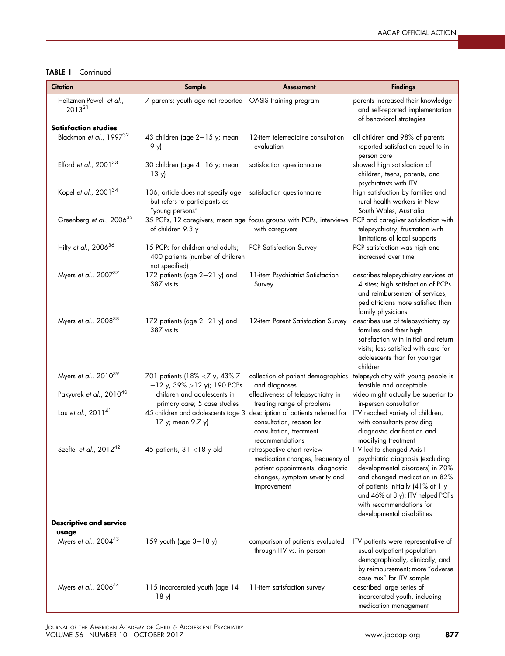## TABLE 1 Continued

| <b>Citation</b>                                                       | Sample                                                                                          | <b>Assessment</b>                                                                                                                                   | <b>Findings</b>                                                                                                                                                                                                                                                      |
|-----------------------------------------------------------------------|-------------------------------------------------------------------------------------------------|-----------------------------------------------------------------------------------------------------------------------------------------------------|----------------------------------------------------------------------------------------------------------------------------------------------------------------------------------------------------------------------------------------------------------------------|
| Heitzman-Powell et al.,<br>$2013^{31}$<br><b>Satisfaction studies</b> | 7 parents; youth age not reported  OASIS training program                                       |                                                                                                                                                     | parents increased their knowledge<br>and self-reported implementation<br>of behavioral strategies                                                                                                                                                                    |
| Blackmon et al., 1997 <sup>32</sup>                                   | 43 children (age 2-15 y; mean<br>9 у)                                                           | 12-item telemedicine consultation<br>evaluation                                                                                                     | all children and 98% of parents<br>reported satisfaction equal to in-<br>person care                                                                                                                                                                                 |
| Elford et al., $2001^{33}$                                            | 30 children (age 4-16 y; mean<br>13 y                                                           | satisfaction questionnaire                                                                                                                          | showed high satisfaction of<br>children, teens, parents, and<br>psychiatrists with ITV                                                                                                                                                                               |
| Kopel et al., 2001 <sup>34</sup>                                      | 136; article does not specify age<br>but refers to participants as<br>"young persons"           | satisfaction questionnaire                                                                                                                          | high satisfaction by families and<br>rural health workers in New<br>South Wales, Australia                                                                                                                                                                           |
| Greenberg et al., 2006 <sup>35</sup>                                  | of children 9.3 y                                                                               | 35 PCPs, 12 caregivers; mean age focus groups with PCPs, interviews<br>with caregivers                                                              | PCP and caregiver satisfaction with<br>telepsychiatry; frustration with<br>limitations of local supports                                                                                                                                                             |
| Hilty et al., 2006 <sup>36</sup>                                      | 15 PCPs for children and adults;<br>400 patients (number of children<br>not specified)          | <b>PCP Satisfaction Survey</b>                                                                                                                      | PCP satisfaction was high and<br>increased over time                                                                                                                                                                                                                 |
| Myers et al., 2007 <sup>37</sup>                                      | 172 patients (age 2-21 y) and<br>387 visits                                                     | 11-item Psychiatrist Satisfaction<br>Survey                                                                                                         | describes telepsychiatry services at<br>4 sites; high satisfaction of PCPs<br>and reimbursement of services;<br>pediatricians more satisfied than<br>family physicians                                                                                               |
| Myers et al., 2008 <sup>38</sup>                                      | 172 patients (age 2-21 y) and<br>387 visits                                                     | 12-item Parent Satisfaction Survey                                                                                                                  | describes use of telepsychiatry by<br>families and their high<br>satisfaction with initial and return<br>visits; less satisfied with care for<br>adolescents than for younger<br>children                                                                            |
| Myers et al., 2010 <sup>39</sup>                                      | 701 patients (18% <7 y, 43% 7<br>$-12$ y, 39% > 12 y); 190 PCPs                                 | collection of patient demographics<br>and diagnoses                                                                                                 | telepsychiatry with young people is<br>feasible and acceptable                                                                                                                                                                                                       |
| Pakyurek et al., 2010 <sup>40</sup>                                   | children and adolescents in<br>primary care; 5 case studies                                     | effectiveness of telepsychiatry in<br>treating range of problems                                                                                    | video might actually be superior to<br>in-person consultation                                                                                                                                                                                                        |
| Lau et al., 2011 <sup>41</sup>                                        | 45 children and adolescents (age 3 description of patients referred for<br>$-17$ y; mean 9.7 y) | consultation, reason for<br>consultation, treatment<br>recommendations                                                                              | ITV reached variety of children,<br>with consultants providing<br>diagnostic clarification and<br>modifying treatment                                                                                                                                                |
| Szeftel et al., 2012 <sup>42</sup><br><b>Descriptive and service</b>  | 45 patients, $31 < 18$ y old                                                                    | retrospective chart review-<br>medication changes, frequency of<br>patient appointments, diagnostic<br>changes, symptom severity and<br>improvement | ITV led to changed Axis I<br>psychiatric diagnosis (excluding<br>developmental disorders) in 70%<br>and changed medication in 82%<br>of patients initially (41% at 1 y<br>and 46% at 3 y); ITV helped PCPs<br>with recommendations for<br>developmental disabilities |
| usage                                                                 |                                                                                                 |                                                                                                                                                     |                                                                                                                                                                                                                                                                      |
| Myers et al., 200443                                                  | 159 youth (age $3 - 18$ y)                                                                      | comparison of patients evaluated<br>through ITV vs. in person                                                                                       | ITV patients were representative of<br>usual outpatient population<br>demographically, clinically, and<br>by reimbursement; more "adverse<br>case mix" for ITV sample                                                                                                |
| Myers et al., 2006 <sup>44</sup>                                      | 115 incarcerated youth (age 14<br>$-18y$                                                        | 11-item satisfaction survey                                                                                                                         | described large series of<br>incarcerated youth, including<br>medication management                                                                                                                                                                                  |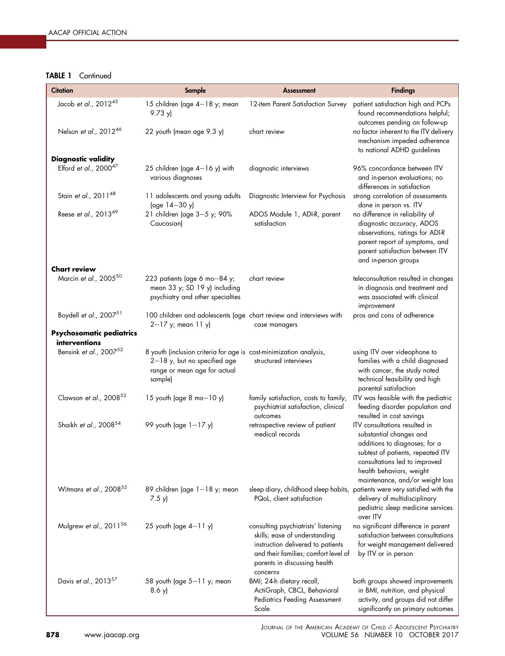## TABLE 1 Continued

| Citation                                                  | Sample                                                                                                                                          | <b>Assessment</b>                                                                                                                                                                             | <b>Findings</b>                                                                                                                                                                                                                |
|-----------------------------------------------------------|-------------------------------------------------------------------------------------------------------------------------------------------------|-----------------------------------------------------------------------------------------------------------------------------------------------------------------------------------------------|--------------------------------------------------------------------------------------------------------------------------------------------------------------------------------------------------------------------------------|
| Jacob et al., 2012 <sup>45</sup><br>Nelson et al., 201246 | 15 children (age 4-18 y; mean<br>9.73 y                                                                                                         | 12-item Parent Satisfaction Survey<br>chart review                                                                                                                                            | patient satisfaction high and PCPs<br>found recommendations helpful;<br>outcomes pending on follow-up<br>no factor inherent to the ITV delivery                                                                                |
|                                                           | 22 youth (mean age 9.3 y)                                                                                                                       |                                                                                                                                                                                               | mechanism impeded adherence<br>to national ADHD guidelines                                                                                                                                                                     |
| <b>Diagnostic validity</b><br>Elford et al., $2000^{47}$  | 25 children (age 4-16 y) with<br>various diagnoses                                                                                              | diagnostic interviews                                                                                                                                                                         | 96% concordance between ITV<br>and in-person evaluations; no<br>differences in satisfaction                                                                                                                                    |
| Stain et al., 2011 <sup>48</sup>                          | 11 adolescents and young adults<br>(age 14-30 y)                                                                                                | Diagnostic Interview for Psychosis                                                                                                                                                            | strong correlation of assessments<br>done in person vs. ITV                                                                                                                                                                    |
| Reese et al., 2013 <sup>49</sup>                          | 21 children (age 3-5 y; 90%<br>Caucasian)                                                                                                       | ADOS Module 1, ADI-R, parent<br>satisfaction                                                                                                                                                  | no difference in reliability of<br>diagnostic accuracy, ADOS<br>observations, ratings for ADI-R<br>parent report of symptoms, and<br>parent satisfaction between ITV<br>and in-person groups                                   |
| <b>Chart review</b>                                       |                                                                                                                                                 |                                                                                                                                                                                               |                                                                                                                                                                                                                                |
| Marcin et al., 2005 <sup>50</sup>                         | 223 patients (age 6 mo-84 y;<br>mean 33 y; SD 19 y) including<br>psychiatry and other specialties                                               | chart review                                                                                                                                                                                  | teleconsultation resulted in changes<br>in diagnosis and treatment and<br>was associated with clinical<br>improvement                                                                                                          |
| Boydell et al., 200751                                    | 100 children and adolescents (age chart review and interviews with<br>$2 - 17$ y; mean 11 y)                                                    | case managers                                                                                                                                                                                 | pros and cons of adherence                                                                                                                                                                                                     |
| Psychosomatic pediatrics<br>interventions                 |                                                                                                                                                 |                                                                                                                                                                                               |                                                                                                                                                                                                                                |
| Bensink et al., 2007 <sup>52</sup>                        | 8 youth (inclusion criteria for age is cost-minimization analysis,<br>$2-18$ y, but no specified age<br>range or mean age for actual<br>sample) | structured interviews                                                                                                                                                                         | using ITV over videophone to<br>families with a child diagnosed<br>with cancer, the study noted<br>technical feasibility and high<br>parental satisfaction                                                                     |
| Clawson et al., 2008 <sup>53</sup>                        | 15 youth (age 8 mo $-10$ y)                                                                                                                     | family satisfaction, costs to family,<br>psychiatrist satisfaction, clinical<br>outcomes                                                                                                      | ITV was feasible with the pediatric<br>feeding disorder population and<br>resulted in cost savings                                                                                                                             |
| Shaikh et al., 2008 <sup>54</sup>                         | 99 youth (age $1-17$ y)                                                                                                                         | retrospective review of patient<br>medical records                                                                                                                                            | ITV consultations resulted in<br>substantial changes and<br>additions to diagnoses; for a<br>subtest of patients, repeated ITV<br>consultations led to improved<br>health behaviors, weight<br>maintenance, and/or weight loss |
| Witmans et al., 2008 <sup>55</sup>                        | 89 children (age 1-18 y; mean<br>7.5 y                                                                                                          | sleep diary, childhood sleep habits, patients were very satisfied with the<br>PQoL, client satisfaction                                                                                       | delivery of multidisciplinary<br>pediatric sleep medicine services<br>over ITV                                                                                                                                                 |
| Mulgrew et al., 2011 <sup>56</sup>                        | 25 youth (age $4-11$ y)                                                                                                                         | consulting psychiatrists' listening<br>skills; ease of understanding<br>instruction delivered to patients<br>and their families; comfort level of<br>parents in discussing health<br>concerns | no significant difference in parent<br>satisfaction between consultations<br>for weight management delivered<br>by ITV or in person                                                                                            |
| Davis et al., 2013 <sup>57</sup>                          | 58 youth (age $5-11$ y; mean<br>8.6 y                                                                                                           | BMI; 24-h dietary recall,<br>ActiGraph, CBCL, Behavioral<br><b>Pediatrics Feeding Assessment</b><br>Scale                                                                                     | both groups showed improvements<br>in BMI, nutrition, and physical<br>activity, and groups did not differ<br>significantly on primary outcomes                                                                                 |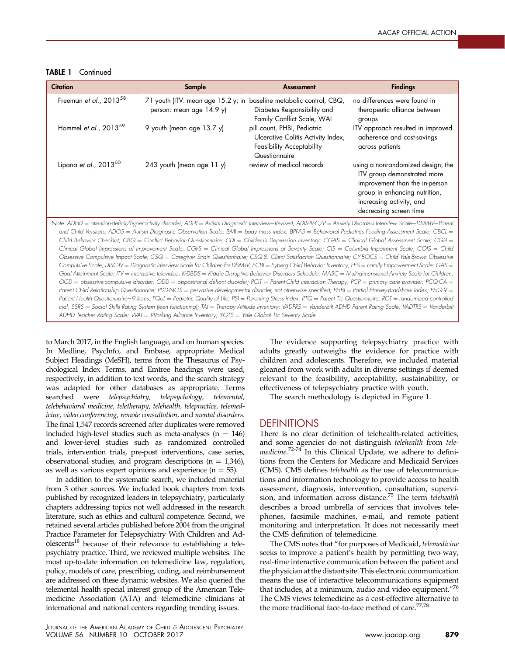TABLE 1 Continued

| <b>Citation</b>                                                                                                                                                                                                                                                                                                                                                                                                                                                                                                                                                                                                                                                                                                                                                                                                                                                                                                                                                                                                                                                                                                                                                                                                                                                                                                                                                                                                                                                                                                                                                                                                                                                                                                                                                                                                                                                                                                                | Sample                                                                                          | <b>Assessment</b>                                                                                               | <b>Findings</b>                                                                                                                                                                           |  |  |
|--------------------------------------------------------------------------------------------------------------------------------------------------------------------------------------------------------------------------------------------------------------------------------------------------------------------------------------------------------------------------------------------------------------------------------------------------------------------------------------------------------------------------------------------------------------------------------------------------------------------------------------------------------------------------------------------------------------------------------------------------------------------------------------------------------------------------------------------------------------------------------------------------------------------------------------------------------------------------------------------------------------------------------------------------------------------------------------------------------------------------------------------------------------------------------------------------------------------------------------------------------------------------------------------------------------------------------------------------------------------------------------------------------------------------------------------------------------------------------------------------------------------------------------------------------------------------------------------------------------------------------------------------------------------------------------------------------------------------------------------------------------------------------------------------------------------------------------------------------------------------------------------------------------------------------|-------------------------------------------------------------------------------------------------|-----------------------------------------------------------------------------------------------------------------|-------------------------------------------------------------------------------------------------------------------------------------------------------------------------------------------|--|--|
| Freeman et al., 2013 <sup>58</sup>                                                                                                                                                                                                                                                                                                                                                                                                                                                                                                                                                                                                                                                                                                                                                                                                                                                                                                                                                                                                                                                                                                                                                                                                                                                                                                                                                                                                                                                                                                                                                                                                                                                                                                                                                                                                                                                                                             | 71 youth (ITV: mean age 15.2 y; in baseline metabolic control, CBQ,<br>person: mean age 14.9 y) | Diabetes Responsibility and<br>Family Conflict Scale, WAI                                                       | no differences were found in<br>therapeutic alliance between<br>groups                                                                                                                    |  |  |
| Hommel et al., 2013 <sup>59</sup>                                                                                                                                                                                                                                                                                                                                                                                                                                                                                                                                                                                                                                                                                                                                                                                                                                                                                                                                                                                                                                                                                                                                                                                                                                                                                                                                                                                                                                                                                                                                                                                                                                                                                                                                                                                                                                                                                              | 9 youth (mean age 13.7 y)                                                                       | pill count, PHBI, Pediatric<br>Ulcerative Colitis Activity Index,<br>Feasibility Acceptability<br>Questionnaire | ITV approach resulted in improved<br>adherence and cost-savings<br>across patients                                                                                                        |  |  |
| Lipana et al., 201360                                                                                                                                                                                                                                                                                                                                                                                                                                                                                                                                                                                                                                                                                                                                                                                                                                                                                                                                                                                                                                                                                                                                                                                                                                                                                                                                                                                                                                                                                                                                                                                                                                                                                                                                                                                                                                                                                                          | 243 youth (mean age 11 y)                                                                       | review of medical records                                                                                       | using a nonrandomized design, the<br>ITV group demonstrated more<br>improvement than the in-person<br>group in enhancing nutrition,<br>increasing activity, and<br>decreasing screen time |  |  |
| Note: ADHD = attention-deficit/hyperactivity disorder; ADI-R = Autism Diagnostic Interview–Revised; ADIS-IV-C/P = Anxiety Disorders Interview Scale–DSM-IV–Parent<br>and Child Versions; ADOS = Autism Diagnostic Observation Scale; BMI = body mass index; BPFAS = Behavioral Pediatrics Feeding Assessment Scale; CBCL =<br>Child Behavior Checklist; CBQ = Conflict Behavior Questionnaire; CDI = Children's Depression Inventory; CGAS = Clinical Global Assessment Scale; CGH =<br>Clinical Global Impressions of Improvement Scale; CGI-S = Clinical Global Impressions of Severity Scale; CIS = Columbia Impairment Scale; COIS = Child<br>Obsessive Compulsive Impact Scale; CSQ = Caregiver Strain Questionnaire; CSQ-8: Client Satisfaction Questionnaire; CY-BOCS = Child Yale-Brown Obsessive<br>Compulsive Scale; DISC-IV = Diagnostic Interview Scale for Children for DSM-IV; ECBI = Eyberg Child Behavior Inventory; FES = Family Empowerment Scale; GAS =<br>Goal Attainment Scale; ITV = interactive televideo; K-DBDS = Kiddie Disruptive Behavior Disorders Schedule; MASC = Multi-dimensional Anxiety Scale for Children;<br>$OCD =$ obsessive-compulsive disorder; $ODD =$ oppositional defiant disorder; PCIT = Parent-Child Interaction Therapy; PCP = primary care provider; PCQ-CA =<br>Parent Child Relationship Questionnaire; PDD-NOS = pervasive developmental disorder, not otherwise specified; PHBI = Partial Harvey-Bradshaw Index; PHQ-9 =<br>Patient Health Questionnaire-9 Items; PQoL = Pediatric Quality of Life; PSI = Parenting Stress Index; PTQ = Parent Tic Questionnaire; RCT = randomized controlled<br>trial; SSRS = Social Skills Rating System (teen functioning); TAI = Therapy Attitude Inventory; VADPRS = Vanderbilt ADHD Parent Rating Scale; VADTRS = Vanderbilt<br>ADHD Teacher Rating Scale; WAI = Working Alliance Inventory; YGTS = Yale Global Tic Severity Scale. |                                                                                                 |                                                                                                                 |                                                                                                                                                                                           |  |  |

to March 2017, in the English language, and on human species. In Medline, PsycInfo, and Embase, appropriate Medical Subject Headings (MeSH), terms from the Thesaurus of Psychological Index Terms, and Emtree headings were used, respectively, in addition to text words, and the search strategy was adapted for other databases as appropriate. Terms searched were telepsychiatry, telepsychology, telemental, telebehavioral medicine, teletherapy, telehealth, telepractice, telemedicine, video conferencing, remote consultation, and mental disorders. The final 1,547 records screened after duplicates were removed included high-level studies such as meta-analyses ( $n = 146$ ) and lower-level studies such as randomized controlled trials, intervention trials, pre-post interventions, case series, observational studies, and program descriptions ( $n = 1,346$ ), as well as various expert opinions and experience ( $n = 55$ ).

In addition to the systematic search, we included material from 3 other sources. We included book chapters from texts published by recognized leaders in telepsychiatry, particularly chapters addressing topics not well addressed in the research literature, such as ethics and cultural competence. Second, we retained several articles published before 2004 from the original Practice Parameter for Telepsychiatry With Children and Adolescents $18$  because of their relevance to establishing a telepsychiatry practice. Third, we reviewed multiple websites. The most up-to-date information on telemedicine law, regulation, policy, models of care, prescribing, coding, and reimbursement are addressed on these dynamic websites. We also queried the telemental health special interest group of the American Telemedicine Association (ATA) and telemedicine clinicians at international and national centers regarding trending issues.

The evidence supporting telepsychiatry practice with adults greatly outweighs the evidence for practice with children and adolescents. Therefore, we included material gleaned from work with adults in diverse settings if deemed relevant to the feasibility, acceptability, sustainability, or effectiveness of telepsychiatry practice with youth.

The search methodology is depicted in [Figure 1](#page-5-0).

## **DEFINITIONS**

There is no clear definition of telehealth-related activities, and some agencies do not distinguish telehealth from tele- *In this Clinical Update, we adhere to defini*tions from the Centers for Medicare and Medicaid Services (CMS). CMS defines telehealth as the use of telecommunications and information technology to provide access to health assessment, diagnosis, intervention, consultation, supervi-sion, and information across distance.<sup>[75](#page-16-0)</sup> The term telehealth describes a broad umbrella of services that involves telephones, facsimile machines, e-mail, and remote patient monitoring and interpretation. It does not necessarily meet the CMS definition of telemedicine.

The CMS notes that "for purposes of Medicaid, telemedicine seeks to improve a patient's health by permitting two-way, real-time interactive communication between the patient and the physician at the distant site. This electronic communication means the use of interactive telecommunications equipment that includes, at a minimum, audio and video equipment."<sup>[76](#page-16-0)</sup> The CMS views telemedicine as a cost-effective alternative to the more traditional face-to-face method of care.<sup>77,78</sup>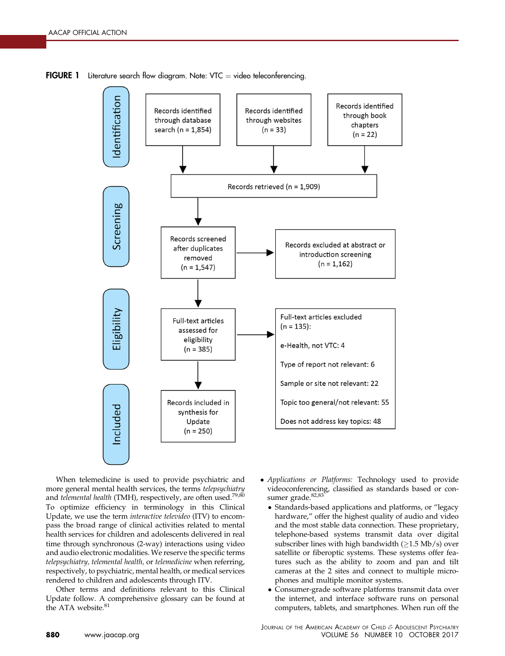<span id="page-5-0"></span>**FIGURE 1** Literature search flow diagram. Note: VTC  $=$  video teleconferencing.



When telemedicine is used to provide psychiatric and more general mental health services, the terms telepsychiatry and telemental health (TMH), respectively, are often used.<sup>[79,80](#page-16-0)</sup> To optimize efficiency in terminology in this Clinical Update, we use the term interactive televideo (ITV) to encompass the broad range of clinical activities related to mental health services for children and adolescents delivered in real time through synchronous (2-way) interactions using video and audio electronic modalities. We reserve the specific terms telepsychiatry, telemental health, or telemedicine when referring, respectively, to psychiatric, mental health, or medical services rendered to children and adolescents through ITV.

Other terms and definitions relevant to this Clinical Update follow. A comprehensive glossary can be found at the ATA website.<sup>[81](#page-16-0)</sup>

- Applications or Platforms: Technology used to provide videoconferencing, classified as standards based or con-sumer grade.<sup>[82,83](#page-16-0)</sup>
	- Standards-based applications and platforms, or "legacy hardware," offer the highest quality of audio and video and the most stable data connection. These proprietary, telephone-based systems transmit data over digital subscriber lines with high bandwidth  $(≥1.5$  Mb/s) over satellite or fiberoptic systems. These systems offer features such as the ability to zoom and pan and tilt cameras at the 2 sites and connect to multiple microphones and multiple monitor systems.
	- - Consumer-grade software platforms transmit data over the internet, and interface software runs on personal computers, tablets, and smartphones. When run off the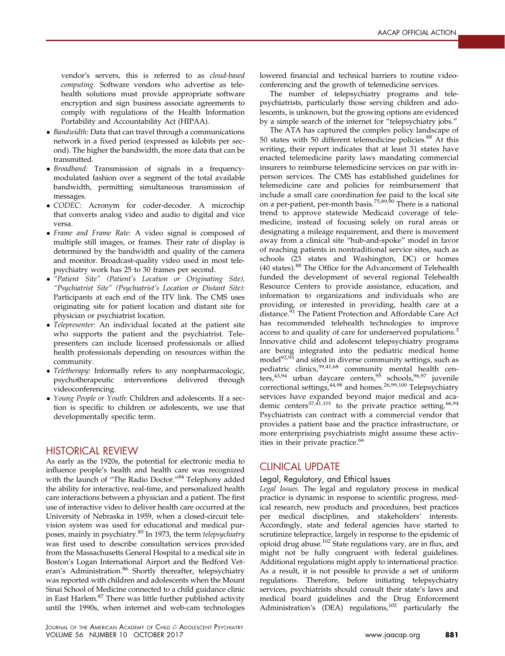vendor's servers, this is referred to as cloud-based computing. Software vendors who advertise as telehealth solutions must provide appropriate software encryption and sign business associate agreements to comply with regulations of the Health Information Portability and Accountability Act (HIPAA).

- Bandwidth: Data that can travel through a communications network in a fixed period (expressed as kilobits per second). The higher the bandwidth, the more data that can be transmitted.
- Broadband: Transmission of signals in a frequencymodulated fashion over a segment of the total available bandwidth, permitting simultaneous transmission of messages.
- CODEC: Acronym for coder-decoder. A microchip that converts analog video and audio to digital and vice versa.
- Frame and Frame Rate: A video signal is composed of multiple still images, or frames. Their rate of display is determined by the bandwidth and quality of the camera and monitor. Broadcast-quality video used in most telepsychiatry work has 25 to 30 frames per second.
- "Patient Site" (Patient's Location or Originating Site), "Psychiatrist Site" (Psychiatrist's Location or Distant Site): Participants at each end of the ITV link. The CMS uses originating site for patient location and distant site for physician or psychiatrist location.
- Telepresenter: An individual located at the patient site who supports the patient and the psychiatrist. Telepresenters can include licensed professionals or allied health professionals depending on resources within the community.
- Teletherapy: Informally refers to any nonpharmacologic, psychotherapeutic interventions delivered through videoconferencing.
- Young People or Youth: Children and adolescents. If a section is specific to children or adolescents, we use that developmentally specific term.

## HISTORICAL REVIEW

As early as the 1920s, the potential for electronic media to influence people's health and health care was recognized with the launch of "The Radio Doctor."<sup>[84](#page-16-0)</sup> Telephony added the ability for interactive, real-time, and personalized health care interactions between a physician and a patient. The first use of interactive video to deliver health care occurred at the University of Nebraska in 1959, when a closed-circuit television system was used for educational and medical purposes, mainly in psychiatry.[85](#page-16-0) In 1973, the term telepsychiatry was first used to describe consultation services provided from the Massachusetts General Hospital to a medical site in Boston's Logan International Airport and the Bedford Vet-eran's Administration.<sup>[86](#page-16-0)</sup> Shortly thereafter, telepsychiatry was reported with children and adolescents when the Mount Sinai School of Medicine connected to a child guidance clinic in East Harlem.<sup>87</sup> There was little further published activity until the 1990s, when internet and web-cam technologies

lowered financial and technical barriers to routine videoconferencing and the growth of telemedicine services.

The number of telepsychiatry programs and telepsychiatrists, particularly those serving children and adolescents, is unknown, but the growing options are evidenced by a simple search of the internet for "telepsychiatry jobs."

The ATA has captured the complex policy landscape of 50 states with 50 different telemedicine policies.<sup>[88](#page-16-0)</sup> At this writing, their report indicates that at least 31 states have enacted telemedicine parity laws mandating commercial insurers to reimburse telemedicine services on par with inperson services. The CMS has established guidelines for telemedicine care and policies for reimbursement that include a small care coordination fee paid to the local site on a per-patient, per-month basis.<sup>[75,89,90](#page-16-0)</sup> There is a national trend to approve statewide Medicaid coverage of telemedicine, instead of focusing solely on rural areas or designating a mileage requirement, and there is movement away from a clinical site "hub-and-spoke" model in favor of reaching patients in nontraditional service sites, such as schools (23 states and Washington, DC) or homes (40 states).<sup>[88](#page-16-0)</sup> The Office for the Advancement of Telehealth funded the development of several regional Telehealth Resource Centers to provide assistance, education, and information to organizations and individuals who are providing, or interested in providing, health care at a distance.<sup>[91](#page-16-0)</sup> The Patient Protection and Affordable Care Act has recommended telehealth technologies to improve access to and quality of care for underserved populations.<sup>[3](#page-14-0)</sup> Innovative child and adolescent telepsychiatry programs are being integrated into the pediatric medical home model $92,93$  and sited in diverse community settings, such as pediatric clinics, <sup>[39,41,68](#page-15-0)</sup> community mental health cen-ters,<sup>[43,94](#page-15-0)</sup> urban daycare centers,<sup>[95](#page-16-0)</sup> schools,<sup>[96,97](#page-16-0)</sup> juvenile correctional settings,<sup>[44,98](#page-15-0)</sup> and homes.<sup>[26,99,100](#page-15-0)</sup> Telepsychiatry services have expanded beyond major medical and aca-demic centers<sup>[37,41,101](#page-15-0)</sup> to the private practice setting.<sup>[66,94](#page-16-0)</sup> Psychiatrists can contract with a commercial vendor that provides a patient base and the practice infrastructure, or more enterprising psychiatrists might assume these activ-ities in their private practice.<sup>[66](#page-16-0)</sup>

## CLINICAL UPDATE

### Legal, Regulatory, and Ethical Issues

Legal Issues. The legal and regulatory process in medical practice is dynamic in response to scientific progress, medical research, new products and procedures, best practices per medical disciplines, and stakeholders' interests. Accordingly, state and federal agencies have started to scrutinize telepractice, largely in response to the epidemic of opioid drug abuse.[102](#page-17-0) State regulations vary, are in flux, and might not be fully congruent with federal guidelines. Additional regulations might apply to international practice. As a result, it is not possible to provide a set of uniform regulations. Therefore, before initiating telepsychiatry services, psychiatrists should consult their state's laws and medical board guidelines and the Drug Enforcement Administration's (DEA) regulations,<sup>[102](#page-17-0)</sup> particularly the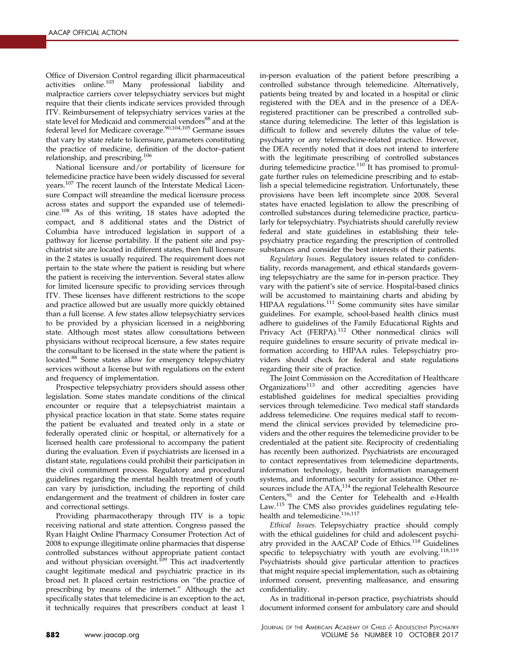Office of Diversion Control regarding illicit pharmaceutical activities online.<sup>[103](#page-17-0)</sup> Many professional liability and malpractice carriers cover telepsychiatry services but might require that their clients indicate services provided through ITV. Reimbursement of telepsychiatry services varies at the state level for Medicaid and commercial vendors<sup>[88](#page-16-0)</sup> and at the federal level for Medicare coverage.<sup>[90,104,105](#page-16-0)</sup> Germane issues that vary by state relate to licensure, parameters constituting the practice of medicine, definition of the doctor–patient relationship, and prescribing.<sup>[106](#page-17-0)</sup>

National licensure and/or portability of licensure for telemedicine practice have been widely discussed for several years.<sup>[107](#page-17-0)</sup> The recent launch of the Interstate Medical Licensure Compact will streamline the medical licensure process across states and support the expanded use of telemedicine.[108](#page-17-0) As of this writing, 18 states have adopted the compact, and 8 additional states and the District of Columbia have introduced legislation in support of a pathway for license portability. If the patient site and psychiatrist site are located in different states, then full licensure in the 2 states is usually required. The requirement does not pertain to the state where the patient is residing but where the patient is receiving the intervention. Several states allow for limited licensure specific to providing services through ITV. These licenses have different restrictions to the scope and practice allowed but are usually more quickly obtained than a full license. A few states allow telepsychiatry services to be provided by a physician licensed in a neighboring state. Although most states allow consultations between physicians without reciprocal licensure, a few states require the consultant to be licensed in the state where the patient is located[.88](#page-16-0) Some states allow for emergency telepsychiatry services without a license but with regulations on the extent and frequency of implementation.

Prospective telepsychiatry providers should assess other legislation. Some states mandate conditions of the clinical encounter or require that a telepsychiatrist maintain a physical practice location in that state. Some states require the patient be evaluated and treated only in a state or federally operated clinic or hospital, or alternatively for a licensed health care professional to accompany the patient during the evaluation. Even if psychiatrists are licensed in a distant state, regulations could prohibit their participation in the civil commitment process. Regulatory and procedural guidelines regarding the mental health treatment of youth can vary by jurisdiction, including the reporting of child endangerment and the treatment of children in foster care and correctional settings.

Providing pharmacotherapy through ITV is a topic receiving national and state attention. Congress passed the Ryan Haight Online Pharmacy Consumer Protection Act of 2008 to expunge illegitimate online pharmacies that dispense controlled substances without appropriate patient contact and without physician oversight.<sup>[109](#page-17-0)</sup> This act inadvertently caught legitimate medical and psychiatric practice in its broad net. It placed certain restrictions on "the practice of prescribing by means of the internet." Although the act specifically states that telemedicine is an exception to the act, it technically requires that prescribers conduct at least 1

in-person evaluation of the patient before prescribing a controlled substance through telemedicine. Alternatively, patients being treated by and located in a hospital or clinic registered with the DEA and in the presence of a DEAregistered practitioner can be prescribed a controlled substance during telemedicine. The letter of this legislation is difficult to follow and severely dilutes the value of telepsychiatry or any telemedicine-related practice. However, the DEA recently noted that it does not intend to interfere with the legitimate prescribing of controlled substances during telemedicine practice.<sup>[110](#page-17-0)</sup> It has promised to promulgate further rules on telemedicine prescribing and to establish a special telemedicine registration. Unfortunately, these provisions have been left incomplete since 2008. Several states have enacted legislation to allow the prescribing of controlled substances during telemedicine practice, particularly for telepsychiatry. Psychiatrists should carefully review federal and state guidelines in establishing their telepsychiatry practice regarding the prescription of controlled substances and consider the best interests of their patients.

Regulatory Issues. Regulatory issues related to confidentiality, records management, and ethical standards governing telepsychiatry are the same for in-person practice. They vary with the patient's site of service. Hospital-based clinics will be accustomed to maintaining charts and abiding by HIPAA regulations.<sup>[111](#page-17-0)</sup> Some community sites have similar guidelines. For example, school-based health clinics must adhere to guidelines of the Family Educational Rights and Privacy Act (FERPA).<sup>[112](#page-17-0)</sup> Other nonmedical clinics will require guidelines to ensure security of private medical information according to HIPAA rules. Telepsychiatry providers should check for federal and state regulations regarding their site of practice.

The Joint Commission on the Accreditation of Healthcare Organizations<sup>[113](#page-17-0)</sup> and other accrediting agencies have established guidelines for medical specialties providing services through telemedicine. Two medical staff standards address telemedicine. One requires medical staff to recommend the clinical services provided by telemedicine providers and the other requires the telemedicine provider to be credentialed at the patient site. Reciprocity of credentialing has recently been authorized. Psychiatrists are encouraged to contact representatives from telemedicine departments, information technology, health information management systems, and information security for assistance. Other resources include the  $ATA<sup>114</sup>$  $ATA<sup>114</sup>$  $ATA<sup>114</sup>$  the regional Telehealth Resource Centers,<sup>[91](#page-16-0)</sup> and the Center for Telehealth and e-Health Law.<sup>[115](#page-17-0)</sup> The CMS also provides guidelines regulating tele-health and telemedicine.<sup>[116,117](#page-17-0)</sup>

Ethical Issues. Telepsychiatry practice should comply with the ethical guidelines for child and adolescent psychi-atry provided in the AACAP Code of Ethics.<sup>[118](#page-17-0)</sup> Guidelines specific to telepsychiatry with youth are evolving.<sup>[118,119](#page-17-0)</sup> Psychiatrists should give particular attention to practices that might require special implementation, such as obtaining informed consent, preventing malfeasance, and ensuring confidentiality.

As in traditional in-person practice, psychiatrists should document informed consent for ambulatory care and should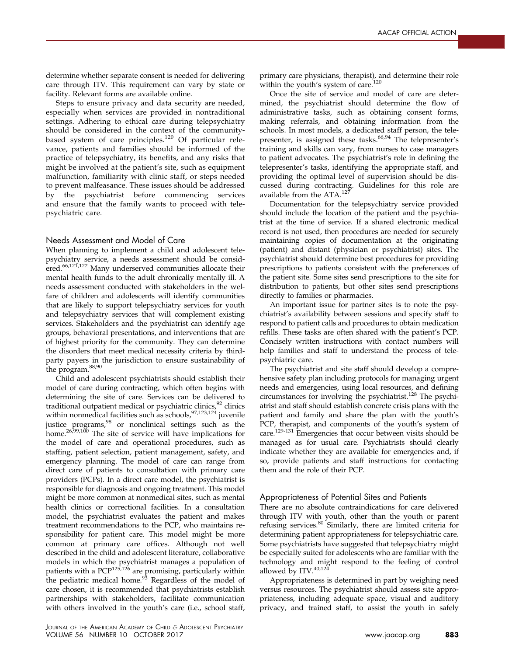determine whether separate consent is needed for delivering care through ITV. This requirement can vary by state or facility. Relevant forms are available online.

Steps to ensure privacy and data security are needed, especially when services are provided in nontraditional settings. Adhering to ethical care during telepsychiatry should be considered in the context of the communitybased system of care principles.[120](#page-17-0) Of particular relevance, patients and families should be informed of the practice of telepsychiatry, its benefits, and any risks that might be involved at the patient's site, such as equipment malfunction, familiarity with clinic staff, or steps needed to prevent malfeasance. These issues should be addressed by the psychiatrist before commencing services and ensure that the family wants to proceed with telepsychiatric care.

#### Needs Assessment and Model of Care

When planning to implement a child and adolescent telepsychiatry service, a needs assessment should be considered.[66,121,122](#page-16-0) Many underserved communities allocate their mental health funds to the adult chronically mentally ill. A needs assessment conducted with stakeholders in the welfare of children and adolescents will identify communities that are likely to support telepsychiatry services for youth and telepsychiatry services that will complement existing services. Stakeholders and the psychiatrist can identify age groups, behavioral presentations, and interventions that are of highest priority for the community. They can determine the disorders that meet medical necessity criteria by thirdparty payers in the jurisdiction to ensure sustainability of the program.<sup>[88,90](#page-16-0)</sup>

Child and adolescent psychiatrists should establish their model of care during contracting, which often begins with determining the site of care. Services can be delivered to traditional outpatient medical or psychiatric clinics, <sup>[92](#page-16-0)</sup> clinics within nonmedical facilities such as schools, <sup>[97,123,124](#page-16-0)</sup> juvenile justice programs,<sup>[98](#page-16-0)</sup> or nonclinical settings such as the home. $^{26,99,100}$  $^{26,99,100}$  $^{26,99,100}$  The site of service will have implications for the model of care and operational procedures, such as staffing, patient selection, patient management, safety, and emergency planning. The model of care can range from direct care of patients to consultation with primary care providers (PCPs). In a direct care model, the psychiatrist is responsible for diagnosis and ongoing treatment. This model might be more common at nonmedical sites, such as mental health clinics or correctional facilities. In a consultation model, the psychiatrist evaluates the patient and makes treatment recommendations to the PCP, who maintains responsibility for patient care. This model might be more common at primary care offices. Although not well described in the child and adolescent literature, collaborative models in which the psychiatrist manages a population of patients with a PCP<sup>[125,126](#page-17-0)</sup> are promising, particularly within the pediatric medical home.<sup>[93](#page-16-0)</sup> Regardless of the model of care chosen, it is recommended that psychiatrists establish partnerships with stakeholders, facilitate communication with others involved in the youth's care (i.e., school staff,

primary care physicians, therapist), and determine their role within the youth's system of care.<sup>[120](#page-17-0)</sup>

Once the site of service and model of care are determined, the psychiatrist should determine the flow of administrative tasks, such as obtaining consent forms, making referrals, and obtaining information from the schools. In most models, a dedicated staff person, the tele-presenter, is assigned these tasks.<sup>[66,94](#page-16-0)</sup> The telepresenter's training and skills can vary, from nurses to case managers to patient advocates. The psychiatrist's role in defining the telepresenter's tasks, identifying the appropriate staff, and providing the optimal level of supervision should be discussed during contracting. Guidelines for this role are available from the  $ATA$ .<sup>[127](#page-17-0)</sup>

Documentation for the telepsychiatry service provided should include the location of the patient and the psychiatrist at the time of service. If a shared electronic medical record is not used, then procedures are needed for securely maintaining copies of documentation at the originating (patient) and distant (physician or psychiatrist) sites. The psychiatrist should determine best procedures for providing prescriptions to patients consistent with the preferences of the patient site. Some sites send prescriptions to the site for distribution to patients, but other sites send prescriptions directly to families or pharmacies.

An important issue for partner sites is to note the psychiatrist's availability between sessions and specify staff to respond to patient calls and procedures to obtain medication refills. These tasks are often shared with the patient's PCP. Concisely written instructions with contact numbers will help families and staff to understand the process of telepsychiatric care.

The psychiatrist and site staff should develop a comprehensive safety plan including protocols for managing urgent needs and emergencies, using local resources, and defining circumstances for involving the psychiatrist.<sup>[128](#page-17-0)</sup> The psychiatrist and staff should establish concrete crisis plans with the patient and family and share the plan with the youth's PCP, therapist, and components of the youth's system of care.[129-131](#page-17-0) Emergencies that occur between visits should be managed as for usual care. Psychiatrists should clearly indicate whether they are available for emergencies and, if so, provide patients and staff instructions for contacting them and the role of their PCP.

#### Appropriateness of Potential Sites and Patients

There are no absolute contraindications for care delivered through ITV with youth, other than the youth or parent refusing services.<sup>[80](#page-16-0)</sup> Similarly, there are limited criteria for determining patient appropriateness for telepsychiatric care. Some psychiatrists have suggested that telepsychiatry might be especially suited for adolescents who are familiar with the technology and might respond to the feeling of control allowed by ITV.<sup>[40,124](#page-15-0)</sup>

Appropriateness is determined in part by weighing need versus resources. The psychiatrist should assess site appropriateness, including adequate space, visual and auditory privacy, and trained staff, to assist the youth in safely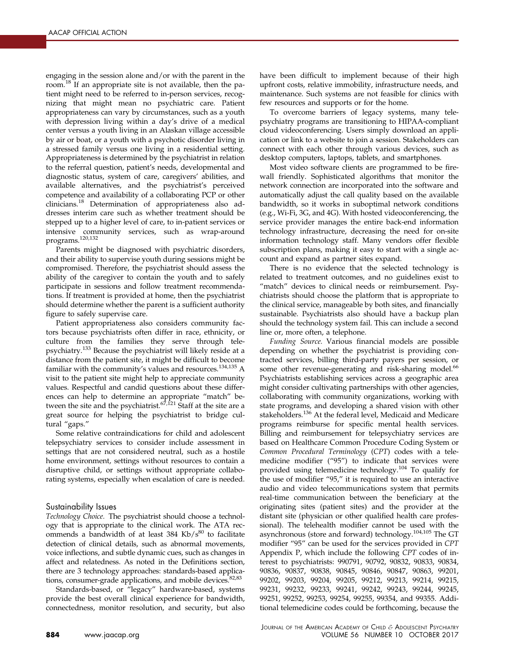engaging in the session alone and/or with the parent in the room.<sup>[18](#page-15-0)</sup> If an appropriate site is not available, then the patient might need to be referred to in-person services, recognizing that might mean no psychiatric care. Patient appropriateness can vary by circumstances, such as a youth with depression living within a day's drive of a medical center versus a youth living in an Alaskan village accessible by air or boat, or a youth with a psychotic disorder living in a stressed family versus one living in a residential setting. Appropriateness is determined by the psychiatrist in relation to the referral question, patient's needs, developmental and diagnostic status, system of care, caregivers' abilities, and available alternatives, and the psychiatrist's perceived competence and availability of a collaborating PCP or other clinicians.[18](#page-15-0) Determination of appropriateness also addresses interim care such as whether treatment should be stepped up to a higher level of care, to in-patient services or intensive community services, such as wrap-around programs[.120,132](#page-17-0)

Parents might be diagnosed with psychiatric disorders, and their ability to supervise youth during sessions might be compromised. Therefore, the psychiatrist should assess the ability of the caregiver to contain the youth and to safely participate in sessions and follow treatment recommendations. If treatment is provided at home, then the psychiatrist should determine whether the parent is a sufficient authority figure to safely supervise care.

Patient appropriateness also considers community factors because psychiatrists often differ in race, ethnicity, or culture from the families they serve through telepsychiatry.[133](#page-17-0) Because the psychiatrist will likely reside at a distance from the patient site, it might be difficult to become familiar with the community's values and resources.<sup>[134,135](#page-17-0)</sup> A visit to the patient site might help to appreciate community values. Respectful and candid questions about these differences can help to determine an appropriate "match" be-tween the site and the psychiatrist.<sup>[67,121](#page-16-0)</sup> Staff at the site are a great source for helping the psychiatrist to bridge cultural "gaps."

Some relative contraindications for child and adolescent telepsychiatry services to consider include assessment in settings that are not considered neutral, such as a hostile home environment, settings without resources to contain a disruptive child, or settings without appropriate collaborating systems, especially when escalation of care is needed.

### Sustainability Issues

Technology Choice. The psychiatrist should choose a technology that is appropriate to the clinical work. The ATA recommends a bandwidth of at least  $384$  Kb/s $^{80}$  to facilitate detection of clinical details, such as abnormal movements, voice inflections, and subtle dynamic cues, such as changes in affect and relatedness. As noted in the Definitions section, there are 3 technology approaches: standards-based applications, consumer-grade applications, and mobile devices.<sup>82,83</sup>

Standards-based, or "legacy" hardware-based, systems provide the best overall clinical experience for bandwidth, connectedness, monitor resolution, and security, but also have been difficult to implement because of their high upfront costs, relative immobility, infrastructure needs, and maintenance. Such systems are not feasible for clinics with few resources and supports or for the home.

To overcome barriers of legacy systems, many telepsychiatry programs are transitioning to HIPAA-compliant cloud videoconferencing. Users simply download an application or link to a website to join a session. Stakeholders can connect with each other through various devices, such as desktop computers, laptops, tablets, and smartphones.

Most video software clients are programmed to be firewall friendly. Sophisticated algorithms that monitor the network connection are incorporated into the software and automatically adjust the call quality based on the available bandwidth, so it works in suboptimal network conditions (e.g., Wi-Fi, 3G, and 4G). With hosted videoconferencing, the service provider manages the entire back-end information technology infrastructure, decreasing the need for on-site information technology staff. Many vendors offer flexible subscription plans, making it easy to start with a single account and expand as partner sites expand.

There is no evidence that the selected technology is related to treatment outcomes, and no guidelines exist to "match" devices to clinical needs or reimbursement. Psychiatrists should choose the platform that is appropriate to the clinical service, manageable by both sites, and financially sustainable. Psychiatrists also should have a backup plan should the technology system fail. This can include a second line or, more often, a telephone.

Funding Source. Various financial models are possible depending on whether the psychiatrist is providing contracted services, billing third-party payers per session, or some other revenue-generating and risk-sharing model.<sup>66</sup> Psychiatrists establishing services across a geographic area might consider cultivating partnerships with other agencies, collaborating with community organizations, working with state programs, and developing a shared vision with other stakeholders.<sup>[136](#page-17-0)</sup> At the federal level, Medicaid and Medicare programs reimburse for specific mental health services. Billing and reimbursement for telepsychiatry services are based on Healthcare Common Procedure Coding System or Common Procedural Terminology (CPT) codes with a telemedicine modifier ("95") to indicate that services were provided using telemedicine technology.[104](#page-17-0) To qualify for the use of modifier "95," it is required to use an interactive audio and video telecommunications system that permits real-time communication between the beneficiary at the originating sites (patient sites) and the provider at the distant site (physician or other qualified health care professional). The telehealth modifier cannot be used with the asynchronous (store and forward) technology.[104,105](#page-17-0) The GT modifier "95" can be used for the services provided in CPT Appendix P, which include the following CPT codes of interest to psychiatrists: 990791, 90792, 90832, 90833, 90834, 90836, 90837, 90838, 90845, 90846, 90847, 90863, 99201, 99202, 99203, 99204, 99205, 99212, 99213, 99214, 99215, 99231, 99232, 99233, 99241, 99242, 99243, 99244, 99245, 99251, 99252, 99253, 99254, 99255, 99354, and 99355. Additional telemedicine codes could be forthcoming, because the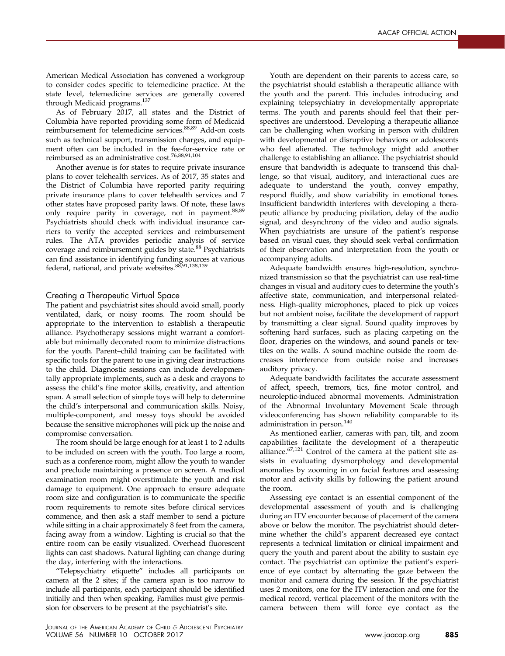American Medical Association has convened a workgroup to consider codes specific to telemedicine practice. At the state level, telemedicine services are generally covered through Medicaid programs.<sup>[137](#page-17-0)</sup>

As of February 2017, all states and the District of Columbia have reported providing some form of Medicaid reimbursement for telemedicine services.<sup>[88,89](#page-16-0)</sup> Add-on costs such as technical support, transmission charges, and equipment often can be included in the fee-for-service rate or reimbursed as an administrative cost.<sup>[76,88,91,104](#page-16-0)</sup>

Another avenue is for states to require private insurance plans to cover telehealth services. As of 2017, 35 states and the District of Columbia have reported parity requiring private insurance plans to cover telehealth services and 7 other states have proposed parity laws. Of note, these laws only require parity in coverage, not in payment.<sup>[88,89](#page-16-0)</sup> Psychiatrists should check with individual insurance carriers to verify the accepted services and reimbursement rules. The ATA provides periodic analysis of service coverage and reimbursement guides by state.<sup>[88](#page-16-0)</sup> Psychiatrists can find assistance in identifying funding sources at various federal, national, and private websites.<sup>[88,91,138,139](#page-16-0)</sup>

### Creating a Therapeutic Virtual Space

The patient and psychiatrist sites should avoid small, poorly ventilated, dark, or noisy rooms. The room should be appropriate to the intervention to establish a therapeutic alliance. Psychotherapy sessions might warrant a comfortable but minimally decorated room to minimize distractions for the youth. Parent–child training can be facilitated with specific tools for the parent to use in giving clear instructions to the child. Diagnostic sessions can include developmentally appropriate implements, such as a desk and crayons to assess the child's fine motor skills, creativity, and attention span. A small selection of simple toys will help to determine the child's interpersonal and communication skills. Noisy, multiple-component, and messy toys should be avoided because the sensitive microphones will pick up the noise and compromise conversation.

The room should be large enough for at least 1 to 2 adults to be included on screen with the youth. Too large a room, such as a conference room, might allow the youth to wander and preclude maintaining a presence on screen. A medical examination room might overstimulate the youth and risk damage to equipment. One approach to ensure adequate room size and configuration is to communicate the specific room requirements to remote sites before clinical services commence, and then ask a staff member to send a picture while sitting in a chair approximately 8 feet from the camera, facing away from a window. Lighting is crucial so that the entire room can be easily visualized. Overhead fluorescent lights can cast shadows. Natural lighting can change during the day, interfering with the interactions.

"Telepsychiatry etiquette" includes all participants on camera at the 2 sites; if the camera span is too narrow to include all participants, each participant should be identified initially and then when speaking. Families must give permission for observers to be present at the psychiatrist's site.

Youth are dependent on their parents to access care, so the psychiatrist should establish a therapeutic alliance with the youth and the parent. This includes introducing and explaining telepsychiatry in developmentally appropriate terms. The youth and parents should feel that their perspectives are understood. Developing a therapeutic alliance can be challenging when working in person with children with developmental or disruptive behaviors or adolescents who feel alienated. The technology might add another challenge to establishing an alliance. The psychiatrist should ensure that bandwidth is adequate to transcend this challenge, so that visual, auditory, and interactional cues are adequate to understand the youth, convey empathy, respond fluidly, and show variability in emotional tones. Insufficient bandwidth interferes with developing a therapeutic alliance by producing pixilation, delay of the audio signal, and desynchrony of the video and audio signals. When psychiatrists are unsure of the patient's response based on visual cues, they should seek verbal confirmation of their observation and interpretation from the youth or accompanying adults.

Adequate bandwidth ensures high-resolution, synchronized transmission so that the psychiatrist can use real-time changes in visual and auditory cues to determine the youth's affective state, communication, and interpersonal relatedness. High-quality microphones, placed to pick up voices but not ambient noise, facilitate the development of rapport by transmitting a clear signal. Sound quality improves by softening hard surfaces, such as placing carpeting on the floor, draperies on the windows, and sound panels or textiles on the walls. A sound machine outside the room decreases interference from outside noise and increases auditory privacy.

Adequate bandwidth facilitates the accurate assessment of affect, speech, tremors, tics, fine motor control, and neuroleptic-induced abnormal movements. Administration of the Abnormal Involuntary Movement Scale through videoconferencing has shown reliability comparable to its administration in person.<sup>[140](#page-17-0)</sup>

As mentioned earlier, cameras with pan, tilt, and zoom capabilities facilitate the development of a therapeutic alliance.<sup>[67,121](#page-16-0)</sup> Control of the camera at the patient site assists in evaluating dysmorphology and developmental anomalies by zooming in on facial features and assessing motor and activity skills by following the patient around the room.

Assessing eye contact is an essential component of the developmental assessment of youth and is challenging during an ITV encounter because of placement of the camera above or below the monitor. The psychiatrist should determine whether the child's apparent decreased eye contact represents a technical limitation or clinical impairment and query the youth and parent about the ability to sustain eye contact. The psychiatrist can optimize the patient's experience of eye contact by alternating the gaze between the monitor and camera during the session. If the psychiatrist uses 2 monitors, one for the ITV interaction and one for the medical record, vertical placement of the monitors with the camera between them will force eye contact as the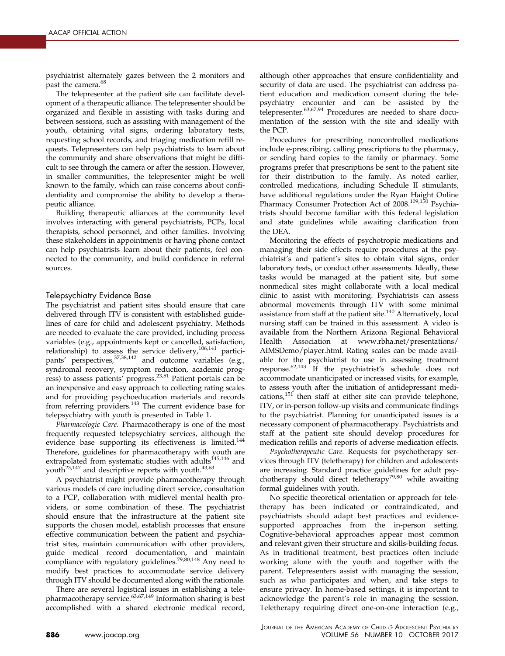psychiatrist alternately gazes between the 2 monitors and past the camera.<sup>68</sup>

The telepresenter at the patient site can facilitate development of a therapeutic alliance. The telepresenter should be organized and flexible in assisting with tasks during and between sessions, such as assisting with management of the youth, obtaining vital signs, ordering laboratory tests, requesting school records, and triaging medication refill requests. Telepresenters can help psychiatrists to learn about the community and share observations that might be difficult to see through the camera or after the session. However, in smaller communities, the telepresenter might be well known to the family, which can raise concerns about confidentiality and compromise the ability to develop a therapeutic alliance.

Building therapeutic alliances at the community level involves interacting with general psychiatrists, PCPs, local therapists, school personnel, and other families. Involving these stakeholders in appointments or having phone contact can help psychiatrists learn about their patients, feel connected to the community, and build confidence in referral sources.

### Telepsychiatry Evidence Base

The psychiatrist and patient sites should ensure that care delivered through ITV is consistent with established guidelines of care for child and adolescent psychiatry. Methods are needed to evaluate the care provided, including process variables (e.g., appointments kept or cancelled, satisfaction, relationship) to assess the service delivery,  $106,141$  partici-pants' perspectives, [37,38,142](#page-15-0) and outcome variables (e.g., syndromal recovery, symptom reduction, academic prog-ress) to assess patients' progress.<sup>[23,51](#page-15-0)</sup> Patient portals can be an inexpensive and easy approach to collecting rating scales and for providing psychoeducation materials and records from referring providers.<sup>[143](#page-17-0)</sup> The current evidence base for telepsychiatry with youth is presented in [Table 1.](#page-1-0)

Pharmacologic Care. Pharmacotherapy is one of the most frequently requested telepsychiatry services, although the evidence base supporting its effectiveness is limited.<sup>[144](#page-17-0)</sup> Therefore, guidelines for pharmacotherapy with youth are extrapolated from systematic studies with adults<sup>[145,146](#page-17-0)</sup> and youth<sup>23,147</sup> and descriptive reports with youth.<sup>[43,63](#page-15-0)</sup>

A psychiatrist might provide pharmacotherapy through various models of care including direct service, consultation to a PCP, collaboration with midlevel mental health providers, or some combination of these. The psychiatrist should ensure that the infrastructure at the patient site supports the chosen model, establish processes that ensure effective communication between the patient and psychiatrist sites, maintain communication with other providers, guide medical record documentation, and maintain compliance with regulatory guidelines.<sup>[79,80,148](#page-16-0)</sup> Any need to modify best practices to accommodate service delivery through ITV should be documented along with the rationale.

There are several logistical issues in establishing a tele-pharmacotherapy service.<sup>[63,67,149](#page-16-0)</sup> Information sharing is best accomplished with a shared electronic medical record, although other approaches that ensure confidentiality and security of data are used. The psychiatrist can address patient education and medication consent during the telepsychiatry encounter and can be assisted by the telepresenter. $63,67,94$  Procedures are needed to share documentation of the session with the site and ideally with the PCP.

Procedures for prescribing noncontrolled medications include e-prescribing, calling prescriptions to the pharmacy, or sending hard copies to the family or pharmacy. Some programs prefer that prescriptions be sent to the patient site for their distribution to the family. As noted earlier, controlled medications, including Schedule II stimulants, have additional regulations under the Ryan Haight Online Pharmacy Consumer Protection Act of 2008.<sup>[109,150](#page-17-0)</sup> Psychiatrists should become familiar with this federal legislation and state guidelines while awaiting clarification from the DEA.

Monitoring the effects of psychotropic medications and managing their side effects require procedures at the psychiatrist's and patient's sites to obtain vital signs, order laboratory tests, or conduct other assessments. Ideally, these tasks would be managed at the patient site, but some nonmedical sites might collaborate with a local medical clinic to assist with monitoring. Psychiatrists can assess abnormal movements through ITV with some minimal assistance from staff at the patient site.<sup>[140](#page-17-0)</sup> Alternatively, local nursing staff can be trained in this assessment. A video is available from the Northern Arizona Regional Behavioral Health Association at [www.rbha.net/presentations/](http://www.rbha.net/presentations/AIMSDemo/player.html) [AIMSDemo/player.html](http://www.rbha.net/presentations/AIMSDemo/player.html). Rating scales can be made available for the psychiatrist to use in assessing treatment response.<sup>[62,143](#page-16-0)</sup> If the psychiatrist's schedule does not accommodate unanticipated or increased visits, for example, to assess youth after the initiation of antidepressant medications, $151$  then staff at either site can provide telephone, ITV, or in-person follow-up visits and communicate findings to the psychiatrist. Planning for unanticipated issues is a necessary component of pharmacotherapy. Psychiatrists and staff at the patient site should develop procedures for medication refills and reports of adverse medication effects.

Psychotherapeutic Care. Requests for psychotherapy services through ITV (teletherapy) for children and adolescents are increasing. Standard practice guidelines for adult psy-chotherapy should direct teletherapy<sup>[79,80](#page-16-0)</sup> while awaiting formal guidelines with youth.

No specific theoretical orientation or approach for teletherapy has been indicated or contraindicated, and psychiatrists should adapt best practices and evidencesupported approaches from the in-person setting. Cognitive-behavioral approaches appear most common and relevant given their structure and skills-building focus. As in traditional treatment, best practices often include working alone with the youth and together with the parent. Telepresenters assist with managing the session, such as who participates and when, and take steps to ensure privacy. In home-based settings, it is important to acknowledge the parent's role in managing the session. Teletherapy requiring direct one-on-one interaction (e.g.,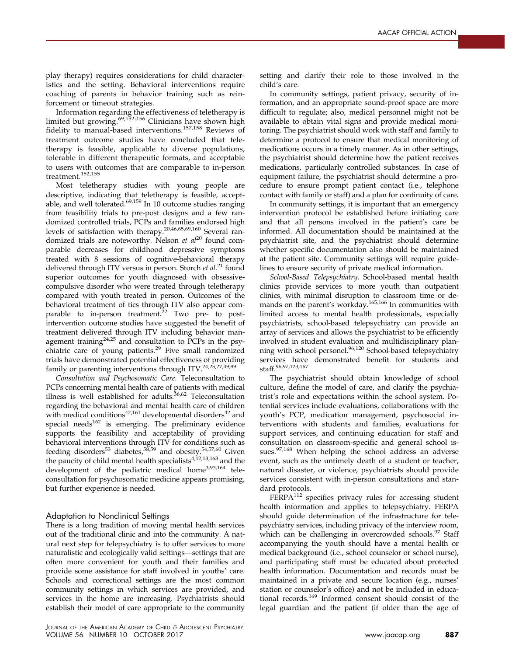play therapy) requires considerations for child characteristics and the setting. Behavioral interventions require coaching of parents in behavior training such as reinforcement or timeout strategies.

Information regarding the effectiveness of teletherapy is limited but growing.[69,152-156](#page-16-0) Clinicians have shown high fidelity to manual-based interventions.[157,158](#page-18-0) Reviews of treatment outcome studies have concluded that teletherapy is feasible, applicable to diverse populations, tolerable in different therapeutic formats, and acceptable to users with outcomes that are comparable to in-person  $t$ reatment. $^{\rm 152,155}$  $^{\rm 152,155}$  $^{\rm 152,155}$ 

Most teletherapy studies with young people are descriptive, indicating that teletherapy is feasible, acceptable, and well tolerated. $69,159$  In 10 outcome studies ranging from feasibility trials to pre-post designs and a few randomized controlled trials, PCPs and families endorsed high levels of satisfaction with therapy.[20,46,65,69,160](#page-15-0) Several randomized trials are noteworthy. Nelson et  $al^{20}$  $al^{20}$  $al^{20}$  found comparable decreases for childhood depressive symptoms treated with 8 sessions of cognitive-behavioral therapy delivered through ITV versus in person. Storch et  $al.^{21}$  $al.^{21}$  $al.^{21}$  found superior outcomes for youth diagnosed with obsessivecompulsive disorder who were treated through teletherapy compared with youth treated in person. Outcomes of the behavioral treatment of tics through ITV also appear comparable to in-person treatment. $22$  Two pre- to postintervention outcome studies have suggested the benefit of treatment delivered through ITV including behavior management training $24,25$  and consultation to PCPs in the psy-chiatric care of young patients.<sup>[29](#page-15-0)</sup> Five small randomized trials have demonstrated potential effectiveness of providing family or parenting interventions through ITV.[24,25,27,49,99](#page-15-0)

Consultation and Psychosomatic Care. Teleconsultation to PCPs concerning mental health care of patients with medical illness is well established for adults. $36,62$  Teleconsultation regarding the behavioral and mental health care of children with medical conditions<sup>[42,161](#page-15-0)</sup> developmental disorders<sup>[42](#page-15-0)</sup> and special needs $162$  is emerging. The preliminary evidence supports the feasibility and acceptability of providing behavioral interventions through ITV for conditions such as feeding disorders<sup>[53](#page-15-0)</sup> diabetes,<sup>[58,59](#page-16-0)</sup> and obesity.<sup>[54,57,60](#page-16-0)</sup> Given the paucity of child mental health specialists $4,12,13,163$  and the development of the pediatric medical home[3,93,164](#page-14-0) teleconsultation for psychosomatic medicine appears promising, but further experience is needed.

#### Adaptation to Nonclinical Settings

There is a long tradition of moving mental health services out of the traditional clinic and into the community. A natural next step for telepsychiatry is to offer services to more naturalistic and ecologically valid settings—settings that are often more convenient for youth and their families and provide some assistance for staff involved in youths' care. Schools and correctional settings are the most common community settings in which services are provided, and services in the home are increasing. Psychiatrists should establish their model of care appropriate to the community setting and clarify their role to those involved in the child's care.

In community settings, patient privacy, security of information, and an appropriate sound-proof space are more difficult to regulate; also, medical personnel might not be available to obtain vital signs and provide medical monitoring. The psychiatrist should work with staff and family to determine a protocol to ensure that medical monitoring of medications occurs in a timely manner. As in other settings, the psychiatrist should determine how the patient receives medications, particularly controlled substances. In case of equipment failure, the psychiatrist should determine a procedure to ensure prompt patient contact (i.e., telephone contact with family or staff) and a plan for continuity of care.

In community settings, it is important that an emergency intervention protocol be established before initiating care and that all persons involved in the patient's care be informed. All documentation should be maintained at the psychiatrist site, and the psychiatrist should determine whether specific documentation also should be maintained at the patient site. Community settings will require guidelines to ensure security of private medical information.

School-Based Telepsychiatry. School-based mental health clinics provide services to more youth than outpatient clinics, with minimal disruption to classroom time or demands on the parent's workday.[165,166](#page-18-0) In communities with limited access to mental health professionals, especially psychiatrists, school-based telepsychiatry can provide an array of services and allows the psychiatrist to be efficiently involved in student evaluation and multidisciplinary plan-ning with school personel.<sup>[96,120](#page-16-0)</sup> School-based telepsychiatry services have demonstrated benefit for students and staff.[96,97,123,167](#page-16-0)

The psychiatrist should obtain knowledge of school culture, define the model of care, and clarify the psychiatrist's role and expectations within the school system. Potential services include evaluations, collaborations with the youth's PCP, medication management, psychosocial interventions with students and families, evaluations for support services, and continuing education for staff and consultation on classroom-specific and general school is-sues.<sup>[97,168](#page-16-0)</sup> When helping the school address an adverse event, such as the untimely death of a student or teacher, natural disaster, or violence, psychiatrists should provide services consistent with in-person consultations and standard protocols.

FERPA<sup>[112](#page-17-0)</sup> specifies privacy rules for accessing student health information and applies to telepsychiatry. FERPA should guide determination of the infrastructure for telepsychiatry services, including privacy of the interview room, which can be challenging in overcrowded schools.<sup>[97](#page-16-0)</sup> Staff accompanying the youth should have a mental health or medical background (i.e., school counselor or school nurse), and participating staff must be educated about protected health information. Documentation and records must be maintained in a private and secure location (e.g., nurses' station or counselor's office) and not be included in educational records.[169](#page-18-0) Informed consent should consist of the legal guardian and the patient (if older than the age of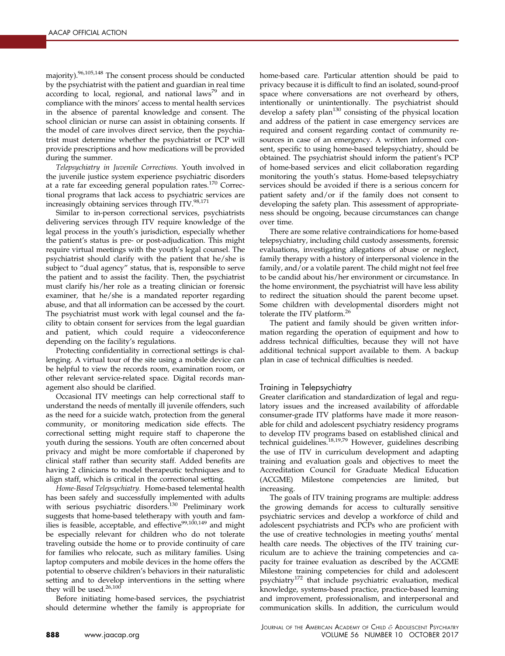majority)[.96,105,148](#page-16-0) The consent process should be conducted by the psychiatrist with the patient and guardian in real time according to local, regional, and national laws<sup>[79](#page-16-0)</sup> and in compliance with the minors' access to mental health services in the absence of parental knowledge and consent. The school clinician or nurse can assist in obtaining consents. If the model of care involves direct service, then the psychiatrist must determine whether the psychiatrist or PCP will provide prescriptions and how medications will be provided during the summer.

Telepsychiatry in Juvenile Corrections. Youth involved in the juvenile justice system experience psychiatric disorders at a rate far exceeding general population rates.<sup>[170](#page-18-0)</sup> Correctional programs that lack access to psychiatric services are increasingly obtaining services through ITV.<sup>98,171</sup>

Similar to in-person correctional services, psychiatrists delivering services through ITV require knowledge of the legal process in the youth's jurisdiction, especially whether the patient's status is pre- or post-adjudication. This might require virtual meetings with the youth's legal counsel. The psychiatrist should clarify with the patient that he/she is subject to "dual agency" status, that is, responsible to serve the patient and to assist the facility. Then, the psychiatrist must clarify his/her role as a treating clinician or forensic examiner, that he/she is a mandated reporter regarding abuse, and that all information can be accessed by the court. The psychiatrist must work with legal counsel and the facility to obtain consent for services from the legal guardian and patient, which could require a videoconference depending on the facility's regulations.

Protecting confidentiality in correctional settings is challenging. A virtual tour of the site using a mobile device can be helpful to view the records room, examination room, or other relevant service-related space. Digital records management also should be clarified.

Occasional ITV meetings can help correctional staff to understand the needs of mentally ill juvenile offenders, such as the need for a suicide watch, protection from the general community, or monitoring medication side effects. The correctional setting might require staff to chaperone the youth during the sessions. Youth are often concerned about privacy and might be more comfortable if chaperoned by clinical staff rather than security staff. Added benefits are having 2 clinicians to model therapeutic techniques and to align staff, which is critical in the correctional setting.

Home-Based Telepsychiatry. Home-based telemental health has been safely and successfully implemented with adults with serious psychiatric disorders.<sup>[130](#page-17-0)</sup> Preliminary work suggests that home-based teletherapy with youth and families is feasible, acceptable, and effective $99,100,149$  and might be especially relevant for children who do not tolerate traveling outside the home or to provide continuity of care for families who relocate, such as military families. Using laptop computers and mobile devices in the home offers the potential to observe children's behaviors in their naturalistic setting and to develop interventions in the setting where they will be used.<sup>[26,100](#page-15-0)</sup>

Before initiating home-based services, the psychiatrist should determine whether the family is appropriate for home-based care. Particular attention should be paid to privacy because it is difficult to find an isolated, sound-proof space where conversations are not overheard by others, intentionally or unintentionally. The psychiatrist should develop a safety plan $130$  consisting of the physical location and address of the patient in case emergency services are required and consent regarding contact of community resources in case of an emergency. A written informed consent, specific to using home-based telepsychiatry, should be obtained. The psychiatrist should inform the patient's PCP of home-based services and elicit collaboration regarding monitoring the youth's status. Home-based telepsychiatry services should be avoided if there is a serious concern for patient safety and/or if the family does not consent to developing the safety plan. This assessment of appropriateness should be ongoing, because circumstances can change over time.

There are some relative contraindications for home-based telepsychiatry, including child custody assessments, forensic evaluations, investigating allegations of abuse or neglect, family therapy with a history of interpersonal violence in the family, and/or a volatile parent. The child might not feel free to be candid about his/her environment or circumstance. In the home environment, the psychiatrist will have less ability to redirect the situation should the parent become upset. Some children with developmental disorders might not tolerate the ITV platform.<sup>[26](#page-15-0)</sup>

The patient and family should be given written information regarding the operation of equipment and how to address technical difficulties, because they will not have additional technical support available to them. A backup plan in case of technical difficulties is needed.

## Training in Telepsychiatry

Greater clarification and standardization of legal and regulatory issues and the increased availability of affordable consumer-grade ITV platforms have made it more reasonable for child and adolescent psychiatry residency programs to develop ITV programs based on established clinical and technical guidelines.<sup>[18,19,79](#page-15-0)</sup> However, guidelines describing the use of ITV in curriculum development and adapting training and evaluation goals and objectives to meet the Accreditation Council for Graduate Medical Education (ACGME) Milestone competencies are limited, but increasing.

The goals of ITV training programs are multiple: address the growing demands for access to culturally sensitive psychiatric services and develop a workforce of child and adolescent psychiatrists and PCPs who are proficient with the use of creative technologies in meeting youths' mental health care needs. The objectives of the ITV training curriculum are to achieve the training competencies and capacity for trainee evaluation as described by the ACGME Milestone training competencies for child and adolescent psychiatry[172](#page-18-0) that include psychiatric evaluation, medical knowledge, systems-based practice, practice-based learning and improvement, professionalism, and interpersonal and communication skills. In addition, the curriculum would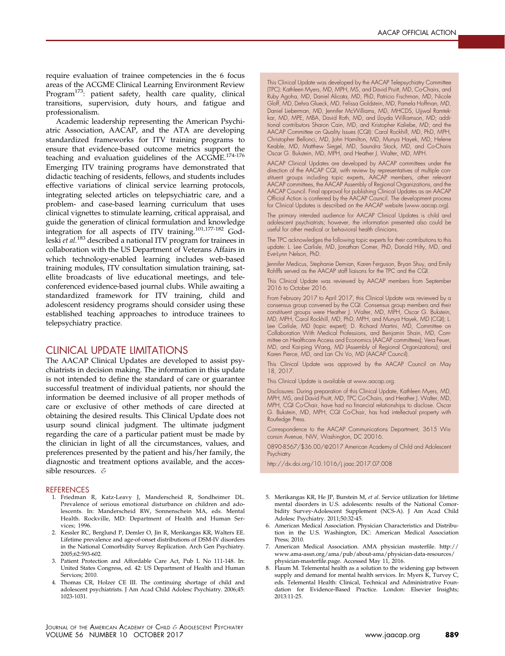<span id="page-14-0"></span>require evaluation of trainee competencies in the 6 focus areas of the ACGME Clinical Learning Environment Review Program<sup>[173](#page-18-0)</sup>: patient safety, health care quality, clinical transitions, supervision, duty hours, and fatigue and professionalism.

Academic leadership representing the American Psychiatric Association, AACAP, and the ATA are developing standardized frameworks for ITV training programs to ensure that evidence-based outcome metrics support the teaching and evaluation guidelines of the ACGME.<sup>[174-176](#page-18-0)</sup> Emerging ITV training programs have demonstrated that didactic teaching of residents, fellows, and students includes effective variations of clinical service learning protocols, integrating selected articles on telepsychiatric care, and a problem- and case-based learning curriculum that uses clinical vignettes to stimulate learning, critical appraisal, and guide the generation of clinical formulation and knowledge integration for all aspects of ITV training.[101,177-182](#page-16-0) God-leski et al.<sup>[183](#page-18-0)</sup> described a national ITV program for trainees in collaboration with the US Department of Veterans Affairs in which technology-enabled learning includes web-based training modules, ITV consultation simulation training, satellite broadcasts of live educational meetings, and teleconferenced evidence-based journal clubs. While awaiting a standardized framework for ITV training, child and adolescent residency programs should consider using these established teaching approaches to introduce trainees to telepsychiatry practice.

## CLINICAL UPDATE LIMITATIONS

The AACAP Clinical Updates are developed to assist psychiatrists in decision making. The information in this update is not intended to define the standard of care or guarantee successful treatment of individual patients, nor should the information be deemed inclusive of all proper methods of care or exclusive of other methods of care directed at obtaining the desired results. This Clinical Update does not usurp sound clinical judgment. The ultimate judgment regarding the care of a particular patient must be made by the clinician in light of all the circumstances, values, and preferences presented by the patient and his/her family, the diagnostic and treatment options available, and the accessible resources. &

#### **REFERENCES**

- 1. Friedman R, Katz-Leavy J, Manderscheid R, Sondheimer DL. Prevalence of serious emotional disturbance on children and adolescents. In: Manderscheid RW, Sonnenschein MA, eds. Mental Health. Rockville, MD: Department of Health and Human Services; 1996.
- 2. Kessler RC, Berglund P, Demler O, Jin R, Merikangas KR, Walters EE. Lifetime prevalence and age-of-onset distributions of DSM-IV disorders in the National Comorbidity Survey Replication. Arch Gen Psychiatry. 2005;62:593-602.
- 3. Patient Protection and Affordable Care Act, Pub L No 111-148. In: United States Congress, ed. 42: US Department of Health and Human Services; 2010.
- 4. Thomas CR, Holzer CE III. The continuing shortage of child and adolescent psychiatrists. J Am Acad Child Adolesc Psychiatry. 2006;45: 1023-1031.

Gloff, MD, Dehra Glueck, MD, Felissa Goldstein, MD, Pamela Hoffman, MD, Daniel Lieberman, MD, Jennifer McWilliams, MD, MHCDS, Ujjwal Ramtekkar, MD, MPE, MBA, David Roth, MD, and Lloyda Williamson, MD; additional contributors Sharon Cain, MD, and Kristopher Kaliebe, MD; and the AACAP Committee on Quality Issues (CQI): Carol Rockhill, MD, PhD, MPH, Christopher Bellonci, MD, John Hamilton, MD, Munya Hayek, MD, Helene Keable, MD, Matthew Siegel, MD, Saundra Stock, MD, and Co-Chairs Oscar G. Bukstein, MD, MPH, and Heather J. Walter, MD, MPH. AACAP Clinical Updates are developed by AACAP committees under the direction of the AACAP CQI, with review by representatives of multiple constituent groups including topic experts, AACAP members, other relevant AACAP committees, the AACAP Assembly of Regional Organizations, and the AACAP Council. Final approval for publishing Clinical Updates as an AACAP Official Action is conferred by the AACAP Council. The development process

for Clinical Updates is described on the AACAP website ([www.aacap.org\)](http://www.aacap.org). The primary intended audience for AACAP Clinical Updates is child and adolescent psychiatrists; however, the information presented also could be useful for other medical or behavioral health clinicians.

This Clinical Update was developed by the AACAP Telepsychiatry Committee (TPC): Kathleen Myers, MD, MPH, MS, and David Pruitt, MD, Co-Chairs, and Ruby Agoha, MD, Daniel Alicata, MD, PhD, Patricio Fischman, MD, Nicole

The TPC acknowledges the following topic experts for their contributions to this update: L. Lee Carlisle, MD, Jonathan Comer, PhD, Donald Hilty, MD, and Eve-Lynn Nelson, PhD.

Jennifer Medicus, Stephanie Demian, Karen Ferguson, Bryan Shuy, and Emily Rohlffs served as the AACAP staff liaisons for the TPC and the CQI.

This Clinical Update was reviewed by AACAP members from September 2016 to October 2016.

From February 2017 to April 2017, this Clinical Update was reviewed by a consensus group convened by the CQI. Consensus group members and their constituent groups were Heather J. Walter, MD, MPH, Oscar G. Bukstein, MD, MPH, Carol Rockhill, MD, PhD, MPH, and Munya Hayek, MD (CQI); L. Lee Carlisle, MD (topic expert); D. Richard Martini, MD, Committee on Collaboration With Medical Professions, and Benjamin Shain, MD, Committee on Healthcare Access and Economics (AACAP committees); Vera Feuer, MD, and Kai-ping Wang, MD (Assembly of Regional Organizations); and Karen Pierce, MD, and Lan Chi Vo, MD (AACAP Council).

This Clinical Update was approved by the AACAP Council on May 18, 2017.

This Clinical Update is available at [www.aacap.org.](http://www.aacap.org)

Disclosures: During preparation of this Clinical Update, Kathleen Myers, MD, MPH, MS, and David Pruitt, MD, TPC Co-Chairs, and Heather J. Walter, MD, MPH, CQI Co-Chair, have had no financial relationships to disclose. Oscar G. Bukstein, MD, MPH, CQI Co-Chair, has had intellectual property with Routledge Press.

Correspondence to the AACAP Communications Department, 3615 Wisconsin Avenue, NW, Washington, DC 20016.

0890-8567/\$36.00/@2017 American Academy of Child and Adolescent **Psychiatry** 

<http://dx.doi.org/10.1016/j.jaac.2017.07.008>

- 5. Merikangas KR, He JP, Burstein M, et al. Service utilization for lifetime mental disorders in U.S. adolescents: results of the National Comorbidity Survey-Adolescent Supplement (NCS-A). J Am Acad Child Adolesc Psychiatry. 2011;50:32-45.
- 6. American Medical Association. Physician Characteristics and Distribution in the U.S. Washington, DC: American Medical Association Press; 2010.
- 7. American Medical Association. AMA physician masterfile. [http://](http://www.ama-assn.org/ama/pub/about-ama/physician-data-resources/physician-masterfile.page) [www.ama-assn.org/ama/pub/about-ama/physician-data-resources/](http://www.ama-assn.org/ama/pub/about-ama/physician-data-resources/physician-masterfile.page) [physician-master](http://www.ama-assn.org/ama/pub/about-ama/physician-data-resources/physician-masterfile.page)file.page. Accessed May 11, 2016.
- 8. Flaum M. Telemental health as a solution to the widening gap between supply and demand for mental health services. In: Myers K, Turvey C, eds. Telemental Health: Clinical, Technical and Administrative Foundation for Evidence-Based Practice. London: Elsevier Insights; 2013:11-25.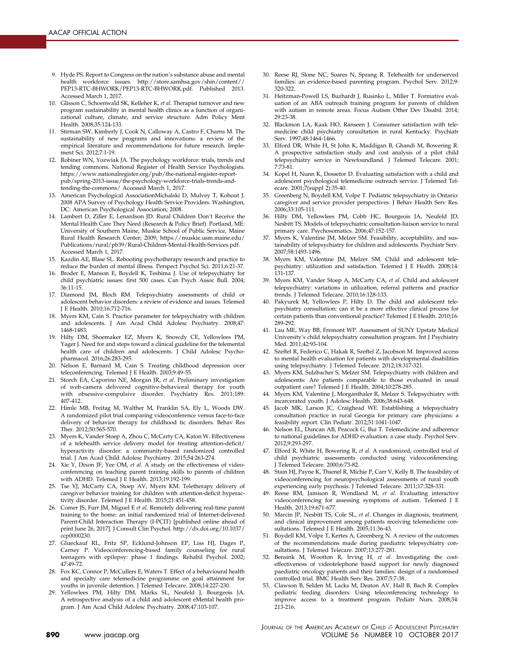- <span id="page-15-0"></span>9. Hyde PS. Report to Congress on the nation's substance abuse and mental health workforce issues. [http://store.samhsa.gov/shin/content//](http://store.samhsa.gov/shin/content//PEP13-RTC-BHWORK/PEP13-RTC-BHWORK.pdf) [PEP13-RTC-BHWORK/PEP13-RTC-BHWORK.pdf.](http://store.samhsa.gov/shin/content//PEP13-RTC-BHWORK/PEP13-RTC-BHWORK.pdf) Published 2013. Accessed March 1, 2017.
- 10. Glisson C, Schoenwald SK, Kelleher K, et al. Therapist turnover and new program sustainability in mental health clinics as a function of organizational culture, climate, and service structure. Adm Policy Ment Health. 2008;35:124-133.
- 11. Stirman SW, Kimberly J, Cook N, Calloway A, Castro F, Charns M. The sustainability of new programs and innovations: a review of the empirical literature and recommendations for future research. Implement Sci. 2012;7:1-19.
- 12. Robiner WN, Yozwiak JA. The psychology workforce: trials, trends and tending commons. National Register of Health Service Psychologists. [https://www.nationalregister.org/pub/the-national-register-report](https://www.nationalregister.org/pub/the-national-register-report-pub/spring-2013-issue/the-psychology-workforce-trials-trends-and-tending-the-commons/)[pub/spring-2013-issue/the-psychology-workforce-trials-trends-and](https://www.nationalregister.org/pub/the-national-register-report-pub/spring-2013-issue/the-psychology-workforce-trials-trends-and-tending-the-commons/)[tending-the-commons/](https://www.nationalregister.org/pub/the-national-register-report-pub/spring-2013-issue/the-psychology-workforce-trials-trends-and-tending-the-commons/) Accessed March 1, 2017.
- 13. American Psychological AssociationMichalski D, Mulvey T, Kohout J. 2008 APA Survey of Psychology Health Service Providers. Washington, DC: American Psychological Association; 2008.
- 14. Lambert D, Ziller E, Lenardson JD. Rural Children Don't Receive the Mental Health Care They Need (Research & Policy Brief). Portland, ME: University of Southern Maine, Muskie School of Public Service, Maine Rural Health Research Center; 2009; [https://muskie.usm.maine.edu/](https://muskie.usm.maine.edu/Publications/rural/pb39/Rural-Children-Mental-Health-Services.pdf) [Publications/rural/pb39/Rural-Children-Mental-Health-Services.pdf](https://muskie.usm.maine.edu/Publications/rural/pb39/Rural-Children-Mental-Health-Services.pdf). Accessed March 1, 2017.
- 15. Kazdin AE, Blase SL. Rebooting psychotherapy research and practice to reduce the burden of mental illness. Perspect Psychol Sci. 2011;6:21-37.
- 16. Broder E, Manson E, Boydell K, Teshima J. Use of telepsychiatry for child psychiatric issues: first 500 cases. Can Psych Assoc Bull. 2004; 36:11-15.
- 17. Diamond JM, Bloch RM. Telepsychiatry assessments of child or adolescent behavior disorders: a review of evidence and issues. Telemed J E Health. 2010;16:712-716.
- 18. Myers KM, Cain S. Practice parameter for telepsychiatry with children and adolescents. J Am Acad Child Adolesc Psychiatry. 2008;47: 1468-1483.
- 19. Hilty DM, Shoemaker EZ, Myers K, Snowdy CE, Yellowlees PM, Yager J. Need for and steps toward a clinical guideline for the telemental health care of children and adolescents. J Child Adolesc Psychopharmacol. 2016;26:283-295.
- 20. Nelson E, Barnard M, Cain S. Treating childhood depression over teleconferencing. Telemed J E Health. 2003;9:49-55.
- 21. Storch EA, Caporino NE, Morgan JR, et al. Preliminary investigation of web-camera delivered cognitive-behavioral therapy for youth with obsessive-compulsive disorder. Psychiatry Res. 2011;189: 407-412.
- 22. Himle MB, Freitag M, Walther M, Franklin SA, Ely L, Woods DW. A randomized pilot trial comparing videoconference versus face-to-face delivery of behavior therapy for childhood tic disorders. Behav Res Ther. 2012;50:565-570.
- 23. Myers K, Vander Stoep A, Zhou C, McCarty CA, Katon W. Effectiveness of a telehealth service delivery model for treating attention-deficit/ hyperactivity disorder: a community-based randomized controlled trial. J Am Acad Child Adolesc Psychiatry. 2015;54:263-274.
- 24. Xie Y, Dixon JF, Yee OM, et al. A study on the effectiveness of videoconferencing on teaching parent training skills to parents of children with ADHD. Telemed J E Health. 2013;19:192-199.
- 25. Tse YJ, McCarty CA, Stoep AV, Myers KM. Teletherapy delivery of caregiver behavior training for children with attention-deficit hyperactivity disorder. Telemed J E Health. 2015;21:451-458.
- 26. Comer JS, Furr JM, Miguel E et al. Remotely delivering real-time parent training to the home: an initial randomized trial of Internet-delivered Parent-Child Interaction Therapy (I-PCIT) [published online ahead of print June 26, 2017]. J Consult Clin Psychol. [http://dx.doi.org/10.1037/](http://dx.doi.org/10.1037/ccp0000230) [ccp0000230](http://dx.doi.org/10.1037/ccp0000230).
- 27. Glueckauf RL, Fritz SP, Ecklund-Johnson EP, Liss HJ, Dages P, Carney P. Videoconferencing-based family counseling for rural teenagers with epilepsy: phase 1 findings. Rehabil Psychol. 2002; 47:49-72.
- 28. Fox KC, Connor P, McCullers E, Waters T. Effect of a behavioural health and specialty care telemedicine programme on goal attainment for youths in juvenile detention. J Telemed Telecare. 2008;14:227-230.
- 29. Yellowlees PM, Hilty DM, Marks SL, Neufeld J, Bourgeois JA. A retrospective analysis of a child and adolescent eMental health program. J Am Acad Child Adolesc Psychiatry. 2008;47:103-107.
- 30. Reese RJ, Slone NC, Soares N, Sprang R. Telehealth for underserved families: an evidence-based parenting program. Psychol Serv. 2012;9: 320-322.
- 31. Heitzman-Powell LS, Buzhardt J, Rusinko L, Miller T. Formative evaluation of an ABA outreach training program for parents of children with autism in remote areas. Focus Autism Other Dev Disabil. 2014; 29:23-38.
- 32. Blackmon LA, Kaak HO, Ranseen J. Consumer satisfaction with telemedicine child psychiatry consultation in rural Kentucky. Psychiatr Serv. 1997;48:1464-1466.
- 33. Elford DR, White H, St John K, Maddigan B, Ghandi M, Bowering R. A prospective satisfaction study and cost analysis of a pilot child telepsychiatry service in Newfoundland. J Telemed Telecare. 2001; 7:73-81.
- 34. Kopel H, Nunn K, Dossetor D. Evaluating satisfaction with a child and adolescent psychological telemedicine outreach service. J Telemed Telecare. 2001;7(suppl 2):35-40.
- 35. Greenberg N, Boydell KM, Volpe T. Pediatric telepsychiatry in Ontario: caregiver and service provider perspectives. J Behav Health Serv Res. 2006;33:105-111.
- 36. Hilty DM, Yellowlees PM, Cobb HC, Bourgeois JA, Neufeld JD, Nesbitt TS. Models of telepsychiatric consultation-liaison service to rural primary care. Psychosomatics. 2006;47:152-157.
- 37. Myers K, Valentine JM, Melzer SM. Feasibility, acceptability, and sustainability of telepsychiatry for children and adolescents. Psychiatr Serv. 2007;58:1493-1496.
- 38. Myers KM, Valentine JM, Melzer SM. Child and adolescent telepsychiatry: utilization and satisfaction. Telemed J E Health. 2008;14: 131-137.
- 39. Myers KM, Vander Stoep A, McCarty CA, et al. Child and adolescent telepsychiatry: variations in utilization, referral patterns and practice trends. J Telemed Telecare. 2010;16:128-133.
- 40. Pakyurek M, Yellowlees P, Hilty D. The child and adolescent telepsychiatry consultation: can it be a more effective clinical process for certain patients than conventional practice? Telemed J E Health. 2010;16: 289-292.
- 41. Lau ME, Way BB, Fremont WP. Assessment of SUNY Upstate Medical University's child telepsychiatry consultation program. Int J Psychiatry Med. 2011;42:93-104.
- 42. Szeftel R, Federico C, Hakak R, Szeftel Z, Jacobson M. Improved access to mental health evaluation for patients with developmental disabilities using telepsychiatry. J Telemed Telecare. 2012;18:317-321.
- 43. Myers KM, Sulzbacher S, Melzer SM. Telepsychiatry with children and adolescents: Are patients comparable to those evaluated in usual outpatient care? Telemed J E Health. 2004;10:278-285.
- 44. Myers KM, Valentine J, Morganthaler R, Melzer S. Telepsychiatry with incarcerated youth. J Adolesc Health. 2006;38:643-648.
- 45. Jacob MK, Larson JC, Craighead WE. Establishing a telepsychiatry consultation practice in rural Georgia for primary care physicians: a feasibility report. Clin Pediatr. 2012;51:1041-1047.
- 46. Nelson EL, Duncan AB, Peacock G, Bui T. Telemedicine and adherence to national guidelines for ADHD evaluation: a case study. Psychol Serv. 2012;9:293-297.
- 47. Elford R, White H, Bowering R, et al. A randomized, controlled trial of child psychiatric assessments conducted using videoconferencing. J Telemed Telecare. 2000;6:73-82.
- 48. Stain HJ, Payne K, Thienel R, Michie P, Carr V, Kelly B. The feasibility of videoconferencing for neuropsychological assessments of rural youth experiencing early psychosis. J Telemed Telecare. 2011;17:328-331.
- 49. Reese RM, Jamison R, Wendland M, et al. Evaluating interactive videoconferencing for assessing symptoms of autism. Telemed J E Health. 2013;19:671-677.
- 50. Marcin JP, Nesbitt TS, Cole SL, et al. Changes in diagnosis, treatment, and clinical improvement among patients receiving telemedicine consultations. Telemed J E Health. 2005;11:36-43.
- 51. Boydell KM, Volpe T, Kertes A, Greenberg N. A review of the outcomes of the recommendations made during paediatric telepsychiatry consultations. J Telemed Telecare. 2007;13:277-281.
- 52. Bensink M, Wootton R, Irving H, et al. Investigating the costeffectiveness of videotelephone based support for newly diagnosed paediatric oncology patients and their families: design of a randomised controlled trial. BMC Health Serv Res. 2007;5:7-38.
- 53. Clawson B, Selden M, Lacks M, Deaton AV, Hall B, Bach R. Complex pediatric feeding disorders: Using teleconferencing technology to improve access to a treatment program. Pediatr Nurs. 2008;34: 213-216.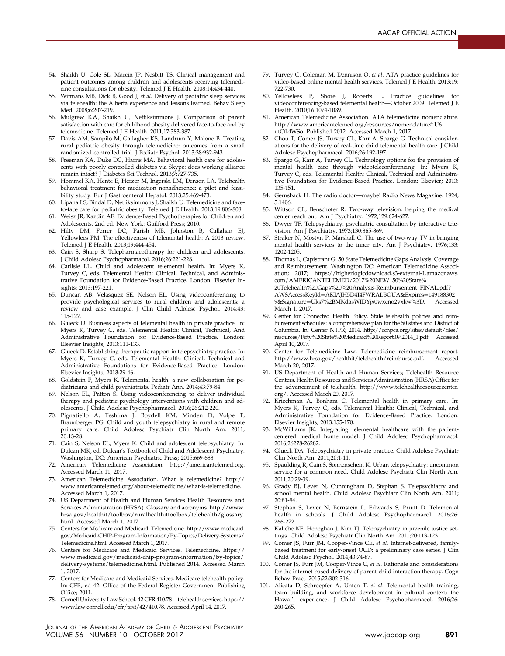- <span id="page-16-0"></span>54. Shaikh U, Cole SL, Marcin JP, Nesbitt TS. Clinical management and patient outcomes among children and adolescents receiving telemedicine consultations for obesity. Telemed J E Health. 2008;14:434-440.
- 55. Witmans MB, Dick B, Good J, et al. Delivery of pediatric sleep services via telehealth: the Alberta experience and lessons learned. Behav Sleep Med. 2008;6:207-219.
- 56. Mulgrew KW, Shaikh U, Nettiksimmons J. Comparison of parent satisfaction with care for childhood obesity delivered face-to-face and by telemedicine. Telemed J E Health. 2011;17:383-387.
- 57. Davis AM, Sampilo M, Gallagher KS, Landrum Y, Malone B. Treating rural pediatric obesity through telemedicine: outcomes from a small randomized controlled trial. J Pediatr Psychol. 2013;38:932-943.
- 58. Freeman KA, Duke DC, Harris MA. Behavioral health care for adolescents with poorly controlled diabetes via Skype: does working alliance remain intact? J Diabetes Sci Technol. 2013;7:727-735.
- 59. Hommel KA, Hente E, Herzer M, Ingerski LM, Denson LA. Telehealth behavioral treatment for medication nonadherence: a pilot and feasibility study. Eur J Gastroenterol Hepatol. 2013;25:469-473.
- 60. Lipana LS, Bindal D, Nettiksimmons J, Shaikh U. Telemedicine and faceto-face care for pediatric obesity. Telemed J E Health. 2013;19:806-808.
- 61. Weisz JR, Kazdin AE. Evidence-Based Psychotherapies for Children and Adolescents. 2nd ed. New York: Guilford Press; 2010.
- 62. Hilty DM, Ferrer DC, Parish MB, Johnston B, Callahan EJ, Yellowlees PM. The effectiveness of telemental health: A 2013 review. Telemed J E Health. 2013;19:444-454.
- 63. Cain S, Sharp S. Telepharmacotherapy for children and adolescents. J Child Adolesc Psychopharmacol. 2016;26:221-228.
- 64. Carlisle LL. Child and adolescent telemental health. In: Myers K, Turvey C, eds. Telemental Health: Clinical, Technical, and Administrative Foundation for Evidence-Based Practice. London: Elsevier Insights; 2013:197-221.
- 65. Duncan AB, Velasquez SE, Nelson EL. Using videoconferencing to provide psychological services to rural children and adolescents: a review and case example. J Clin Child Adolesc Psychol. 2014;43: 115-127.
- 66. Glueck D. Business aspects of telemental health in private practice. In: Myers K, Turvey C, eds. Telemental Health: Clinical, Technical, And Administrative Foundation for Evidence-Based Practice. London: Elsevier Insights; 2013:111-133.
- 67. Glueck D. Establishing therapeutic rapport in telepsychiatry practice. In: Myers K, Turvey C, eds. Telemental Health: Clinical, Technical and Administrative Foundations for Evidence-Based Practice. London: Elsevier Insights; 2013:29-46.
- 68. Goldstein F, Myers K. Telemental health: a new collaboration for pediatricians and child psychiatrists. Pediatr Ann. 2014;43:79-84.
- 69. Nelson EL, Patton S. Using videoconferencing to deliver individual therapy and pediatric psychology interventions with children and adolescents. J Child Adolesc Psychopharmacol. 2016;26:212-220.
- 70. Pignatiello A, Teshima J, Boydell KM, Minden D, Volpe T, Braunberger PG. Child and youth telepsychiatry in rural and remote primary care. Child Adolesc Psychiatr Clin North Am. 2011; 20:13-28.
- 71. Cain S, Nelson EL, Myers K. Child and adolescent telepsychiatry. In: Dulcan MK, ed. Dulcan's Textbook of Child and Adolescent Psychiatry. Washington, DC: American Psychiatric Press; 2015:669-688.
- 72. American Telemedicine Association. [http://americantelemed.org.](http://americantelemed.org) Accessed March 11, 2017.
- 73. American Telemedicine Association. What is telemedicine? [http://](http://www.americantelemed.org/about-telemedicine/what-is-telemedicine) [www.americantelemed.org/about-telemedicine/what-is-telemedicine.](http://www.americantelemed.org/about-telemedicine/what-is-telemedicine) Accessed March 1, 2017.
- 74. US Department of Health and Human Services Health Resources and Services Administration (HRSA). Glossary and acronyms. [http://www.](http://www.hrsa.gov/healthit/toolbox/ruralhealthittoolbox/telehealth/glossary.html) [hrsa.gov/healthit/toolbox/ruralhealthittoolbox/telehealth/glossary.](http://www.hrsa.gov/healthit/toolbox/ruralhealthittoolbox/telehealth/glossary.html) [html](http://www.hrsa.gov/healthit/toolbox/ruralhealthittoolbox/telehealth/glossary.html). Accessed March 1, 2017.
- 75. Centers for Medicare and Medicaid. Telemedicine. [http://www.medicaid.](http://www.medicaid.gov/Medicaid-CHIP-Program-Information/By-Topics/Delivery-Systems/Telemedicine.html) [gov/Medicaid-CHIP-Program-Information/By-Topics/Delivery-Systems/](http://www.medicaid.gov/Medicaid-CHIP-Program-Information/By-Topics/Delivery-Systems/Telemedicine.html) [Telemedicine.html.](http://www.medicaid.gov/Medicaid-CHIP-Program-Information/By-Topics/Delivery-Systems/Telemedicine.html) Accessed March 1, 2017.
- 76. Centers for Medicare and Medicaid Services. Telemedicine. [https://](https://www.medicaid.gov/medicaid-chip-program-information/by-topics/delivery-systems/telemedicine.html) [www.medicaid.gov/medicaid-chip-program-information/by-topics/](https://www.medicaid.gov/medicaid-chip-program-information/by-topics/delivery-systems/telemedicine.html) [delivery-systems/telemedicine.html](https://www.medicaid.gov/medicaid-chip-program-information/by-topics/delivery-systems/telemedicine.html). Published 2014. Accessed March 1, 2017.
- 77. Centers for Medicare and Medicaid Services. Medicare telehealth policy. In: CFR, ed 42: Office of the Federal Register Government Publishing Office; 2011.
- 78. Cornell University Law School. 42 CFR 410.78—telehealth services. [https://](https://www.law.cornell.edu/cfr/text/42/410.78) [www.law.cornell.edu/cfr/text/42/410.78.](https://www.law.cornell.edu/cfr/text/42/410.78) Accessed April 14, 2017.
- JOURNAL OF THE AMERICAN ACADEMY OF CHILD & ADOLESCENT PSYCHIATRY VOLUME 56 NUMBER 10 OCTOBER 2017 [www.jaacap.org](http://www.jaacap.org) 891
- 79. Turvey C, Coleman M, Dennison O, et al. ATA practice guidelines for video-based online mental health services. Telemed J E Health. 2013;19: 722-730.
- 80. Yellowlees P, Shore J, Roberts L. Practice guidelines for videoconferencing-based telemental health—October 2009. Telemed J E Health. 2010;16:1074-1089.
- 81. American Telemedicine Association. ATA telemedicine nomenclature. [http://www.americantelemed.org/resources/nomenclature#.U6](http://www.americantelemed.org/resources/nomenclature#.U6utCfldWSo) utCfl[dWSo](http://www.americantelemed.org/resources/nomenclature#.U6utCfldWSo). Published 2012. Accessed March 1, 2017.
- 82. Chou T, Comer JS, Turvey CL, Karr A, Spargo G. Technical considerations for the delivery of real-time child telemental health care. J Child Adolesc Psychopharmacol. 2016;26:192-197.
- 83. Spargo G, Karr A, Turvey CL. Technology options for the provision of mental health care through videoteleconferencing. In: Myers K, Turvey C, eds. Telemental Health: Clinical, Technical and Administrative Foundation for Evidence-Based Practice. London: Elsevier; 2013: 135-151.
- 84. Gernsback H. The radio doctor—maybe! Radio News Magazine. 1924; 5:1406.
- 85. Wittson CL, Benschoter R. Two-way television: helping the medical center reach out. Am J Psychiatry. 1972;129:624-627.
- 86. Dwyer TF. Telepsychiatry: psychiatric consultation by interactive television. Am J Psychiatry. 1973;130:865-869.
- 87. Straker N, Mostyn P, Marshall C. The use of two-way TV in bringing mental health services to the inner city. Am J Psychiatry. 1976;133: 1202-1205.
- 88. Thomas L, Capistrant G. 50 State Telemedicine Gaps Analysis: Coverage and Reimbursement. Washington DC: American Telemedicine Association; 2017; [https://higherlogicdownload.s3-external-1.amazonaws.](https://higherlogicdownload.s3-external-1.amazonaws.com/AMERICANTELEMED/2017%20NEW_50%20State%20Telehealth%20Gaps%20%20Analysis-Reimbursement_FINAL.pdf?AWSAccessKeyId=AKIAJH5D4I4FWRALBOUA&Expires=1491883029&Signature=Uks7%2BMKdasWIDYjx0wxcno2vxkw%3D) [com/AMERICANTELEMED/2017%20NEW\\_50%20State%](https://higherlogicdownload.s3-external-1.amazonaws.com/AMERICANTELEMED/2017%20NEW_50%20State%20Telehealth%20Gaps%20%20Analysis-Reimbursement_FINAL.pdf?AWSAccessKeyId=AKIAJH5D4I4FWRALBOUA&Expires=1491883029&Signature=Uks7%2BMKdasWIDYjx0wxcno2vxkw%3D) [20Telehealth%20Gaps%20%20Analysis-Reimbursement\\_FINAL.pdf?](https://higherlogicdownload.s3-external-1.amazonaws.com/AMERICANTELEMED/2017%20NEW_50%20State%20Telehealth%20Gaps%20%20Analysis-Reimbursement_FINAL.pdf?AWSAccessKeyId=AKIAJH5D4I4FWRALBOUA&Expires=1491883029&Signature=Uks7%2BMKdasWIDYjx0wxcno2vxkw%3D) [AWSAccessKeyId](https://higherlogicdownload.s3-external-1.amazonaws.com/AMERICANTELEMED/2017%20NEW_50%20State%20Telehealth%20Gaps%20%20Analysis-Reimbursement_FINAL.pdf?AWSAccessKeyId=AKIAJH5D4I4FWRALBOUA&Expires=1491883029&Signature=Uks7%2BMKdasWIDYjx0wxcno2vxkw%3D)=[AKIAJH5D4I4FWRALBOUA&Expires](https://higherlogicdownload.s3-external-1.amazonaws.com/AMERICANTELEMED/2017%20NEW_50%20State%20Telehealth%20Gaps%20%20Analysis-Reimbursement_FINAL.pdf?AWSAccessKeyId=AKIAJH5D4I4FWRALBOUA&Expires=1491883029&Signature=Uks7%2BMKdasWIDYjx0wxcno2vxkw%3D)=[149188302](https://higherlogicdownload.s3-external-1.amazonaws.com/AMERICANTELEMED/2017%20NEW_50%20State%20Telehealth%20Gaps%20%20Analysis-Reimbursement_FINAL.pdf?AWSAccessKeyId=AKIAJH5D4I4FWRALBOUA&Expires=1491883029&Signature=Uks7%2BMKdasWIDYjx0wxcno2vxkw%3D)<br>9&Signature=Uks7%2BMKdasWIDYix0wxcno2vxkw%3D. Accessed [9&Signature](https://higherlogicdownload.s3-external-1.amazonaws.com/AMERICANTELEMED/2017%20NEW_50%20State%20Telehealth%20Gaps%20%20Analysis-Reimbursement_FINAL.pdf?AWSAccessKeyId=AKIAJH5D4I4FWRALBOUA&Expires=1491883029&Signature=Uks7%2BMKdasWIDYjx0wxcno2vxkw%3D)=[Uks7%2BMKdasWIDYjx0wxcno2vxkw%3D.](https://higherlogicdownload.s3-external-1.amazonaws.com/AMERICANTELEMED/2017%20NEW_50%20State%20Telehealth%20Gaps%20%20Analysis-Reimbursement_FINAL.pdf?AWSAccessKeyId=AKIAJH5D4I4FWRALBOUA&Expires=1491883029&Signature=Uks7%2BMKdasWIDYjx0wxcno2vxkw%3D) March 1, 2017.
- 89. Center for Connected Health Policy. State telehealth policies and reimbursement schedules: a comprehensive plan for the 50 states and District of Columbia. In: Center NTPR; 2014. [http://cchpca.org/sites/default/](http://cchpca.org/sites/default/files/resources/Fifty%20State%20Medicaid%20Report.09.2014_1.pdf)files/ [resources/Fifty%20State%20Medicaid%20Report.09.2014\\_1.pdf.](http://cchpca.org/sites/default/files/resources/Fifty%20State%20Medicaid%20Report.09.2014_1.pdf) Accessed April 10, 2017.
- 90. Center for Telemedicine Law. Telemedicine reimbursement report. <http://www.hrsa.gov/healthit/telehealth/reimburse.pdf>. Accessed March 20, 2017.
- 91. US Department of Health and Human Services; Telehealth Resource Centers. Health Resources and Services Administration (HRSA) Office for the advancement of telehealth. [http://www.telehealthresourcecenter.](http://www.telehealthresourcecenter.org/) [org/.](http://www.telehealthresourcecenter.org/) Accessed March 20, 2017.
- 92. Kriechman A, Bonham C. Telemental health in primary care. In: Myers K, Turvey C, eds. Telemental Health: Clinical, Technical, and Administrative Foundation for Evidence-Based Practice. London: Elsevier Insights; 2013:155-170.
- 93. McWilliams JK. Integrating telemental healthcare with the patientcentered medical home model. J Child Adolesc Psychopharmacol. 2016;26278-26282.
- 94. Glueck DA. Telepsychiatry in private practice. Child Adolesc Psychiatr Clin North Am. 2011;20:1-11.
- 95. Spaulding R, Cain S, Sonnenschein K. Urban telepsychiatry: uncommon service for a common need. Child Adolesc Psychiatr Clin North Am. 2011;20:29-39.
- 96. Grady BJ, Lever N, Cunningham D, Stephan S. Telepsychiatry and school mental health. Child Adolesc Psychiatr Clin North Am. 2011; 20:81-94.
- 97. Stephan S, Lever N, Bernstein L, Edwards S, Pruitt D. Telemental health in schools. J Child Adolesc Psychopharmacol. 2016;26: 266-272.
- 98. Kaliebe KE, Heneghan J, Kim TJ. Telepsychiatry in juvenile justice settings. Child Adolesc Psychiatr Clin North Am. 2011;20:113-123.
- 99. Comer JS, Furr JM, Cooper-Vince CE, et al. Internet-delivered, familybased treatment for early-onset OCD: a preliminary case series. J Clin Child Adolesc Psychol. 2014;43:74-87.
- 100. Comer JS, Furr JM, Cooper-Vince C, et al. Rationale and considerations for the internet-based delivery of parent-child interaction therapy. Cogn Behav Pract. 2015;22:302-316.
- 101. Alicata D, Schroepfer A, Unten T, et al. Telemental health training, team building, and workforce development in cultural context: the Hawai'i experience. J Child Adolesc Psychopharmacol. 2016;26: 260-265.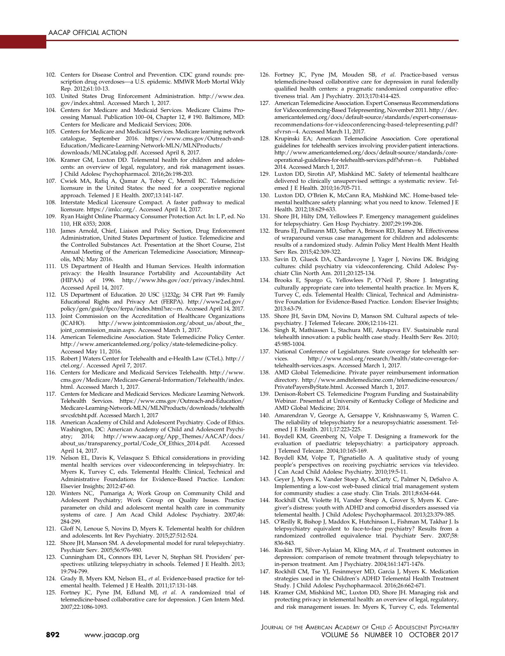- <span id="page-17-0"></span>102. Centers for Disease Control and Prevention. CDC grand rounds: prescription drug overdoses-a U.S. epidemic. MMWR Morb Mortal Wkly Rep. 2012;61:10-13.
- 103. United States Drug Enforcement Administration. [http://www.dea.](http://www.dea.gov/index.shtml) [gov/index.shtml](http://www.dea.gov/index.shtml). Accessed March 1, 2017.
- 104. Centers for Medicare and Medicaid Services. Medicare Claims Processing Manual. Publication 100–04, Chapter 12, # 190. Baltimore, MD: Centers for Medicare and Medicaid Services; 2006.
- 105. Centers for Medicare and Medicaid Services. Medicare learning network catalogue, September 2016. [https://www.cms.gov/Outreach-and-](https://www.cms.gov/Outreach-and-Education/Medicare-Learning-Network-MLN/MLNProducts/downloads/MLNCatalog.pdf)[Education/Medicare-Learning-Network-MLN/MLNProducts/](https://www.cms.gov/Outreach-and-Education/Medicare-Learning-Network-MLN/MLNProducts/downloads/MLNCatalog.pdf) [downloads/MLNCatalog.pdf.](https://www.cms.gov/Outreach-and-Education/Medicare-Learning-Network-MLN/MLNProducts/downloads/MLNCatalog.pdf) Accessed April 8, 2017.
- 106. Kramer GM, Luxton DD. Telemental health for children and adolescents: an overview of legal, regulatory, and risk management issues. J Child Adolesc Psychopharmacol. 2016;26:198-203.
- 107. Cwiek MA, Rafiq A, Qamar A, Tobey C, Merrell RC. Telemedicine licensure in the United States: the need for a cooperative regional approach. Telemed J E Health. 2007;13:141-147.
- 108. Interstate Medical Licensure Compact. A faster pathway to medical licensure. [https://imlcc.org/.](https://imlcc.org/) Accessed April 14, 2017.
- 109. Ryan Haight Online Pharmacy Consumer Protection Act. In: L P, ed. No 110, HR 6353; 2008.
- 110. James Arnold, Chief, Liaison and Policy Section, Drug Enforcement Administration, United States Department of Justice. Telemedicine and the Controlled Substances Act. Presentation at the Short Course, 21st Annual Meeting of the American Telemedicine Association; Minneapolis, MN; May 2016.
- 111. US Department of Health and Human Services. Health information privacy: the Health Insurance Portability and Accountability Act (HIPAA) of 1996. [http://www.hhs.gov/ocr/privacy/index.html.](http://www.hhs.gov/ocr/privacy/index.html) Accessed April 14, 2017.
- 112. US Department of Education. 20 USC §1232g; 34 CFR Part 99: Family Educational Rights and Privacy Act (FERPA). [http://www2.ed.gov/](http://www2.ed.gov/policy/gen/guid/fpco/ferpa/index.html?src=rn) [policy/gen/guid/fpco/ferpa/index.html?src](http://www2.ed.gov/policy/gen/guid/fpco/ferpa/index.html?src=rn)=[rn.](http://www2.ed.gov/policy/gen/guid/fpco/ferpa/index.html?src=rn) Accessed April 14, 2017.
- 113. Joint Commission on the Accreditation of Healthcare Organizations (JCAHO). [http://www.jointcommission.org/about\\_us/about\\_the\\_](http://www.jointcommission.org/about_us/about_the_joint_commission_main.aspx) [joint\\_commission\\_main.aspx](http://www.jointcommission.org/about_us/about_the_joint_commission_main.aspx). Accessed March 1, 2017.
- 114. American Telemedicine Association. State Telemedicine Policy Center. <http://www.americantelemed.org/policy/state-telemedicine-policy>. Accessed May 11, 2016.
- 115. Robert J Waters Center for Telehealth and e-Health Law (CTeL). [http://](http://ctel.org/) [ctel.org/](http://ctel.org/). Accessed April 7, 2017.
- 116. Centers for Medicare and Medicaid Services Telehealth. [http://www.](http://www.cms.gov/Medicare/Medicare-General-Information/Telehealth/index.html) [cms.gov/Medicare/Medicare-General-Information/Telehealth/index.](http://www.cms.gov/Medicare/Medicare-General-Information/Telehealth/index.html) [html](http://www.cms.gov/Medicare/Medicare-General-Information/Telehealth/index.html). Accessed March 1, 2017.
- 117. Centers for Medicare and Medicaid Services. Medicare Learning Network. Telehealth Services. [https://www.cms.gov/Outreach-and-Education/](https://www.cms.gov/Outreach-and-Education/Medicare-Learning-Network-MLN/MLNProducts/downloads/telehealthsrvcsfctsht.pdf) [Medicare-Learning-Network-MLN/MLNProducts/downloads/telehealth](https://www.cms.gov/Outreach-and-Education/Medicare-Learning-Network-MLN/MLNProducts/downloads/telehealthsrvcsfctsht.pdf) [srvcsfctsht.pdf](https://www.cms.gov/Outreach-and-Education/Medicare-Learning-Network-MLN/MLNProducts/downloads/telehealthsrvcsfctsht.pdf). Accessed March 1, 2017
- 118. American Academy of Child and Adolescent Psychiatry. Code of Ethics. Washington, DC: American Academy of Child and Adolescent Psychiatry; 2014; [http://www.aacap.org/App\\_Themes/AACAP/docs/](http://www.aacap.org/App_Themes/AACAP/docs/about_us/transparency_portal/Code_Of_Ethics_2014.pdf) [about\\_us/transparency\\_portal/Code\\_Of\\_Ethics\\_2014.pdf.](http://www.aacap.org/App_Themes/AACAP/docs/about_us/transparency_portal/Code_Of_Ethics_2014.pdf) Accessed April 14, 2017.
- 119. Nelson EL, Davis K, Velasquez S. Ethical considerations in providing mental health services over videoconferencing in telepsychiatry. In: Myers K, Turvey C, eds. Telemental Health: Clinical, Technical and Administrative Foundations for Evidence-Based Practice. London: Elsevier Insights; 2012:47-60.
- 120. Winters NC, Pumariga A; Work Group on Community Child and Adolescent Psychiatry; Work Group on Quality Issues. Practice parameter on child and adolescent mental health care in community systems of care. J Am Acad Child Adolesc Psychiatry. 2007;46: 284-299.
- 121. Gloff N, Lenoue S, Novins D, Myers K. Telemental health for children and adolescents. Int Rev Psychiatry. 2015;27:512-524.
- 122. Shore JH, Manson SM. A developmental model for rural telepsychiatry. Psychiatr Serv. 2005;56:976-980.
- 123. Cunningham DL, Connors EH, Lever N, Stephan SH. Providers' perspectives: utilizing telepsychiatry in schools. Telemed J E Health. 2013; 19:794-799.
- 124. Grady B, Myers KM, Nelson EL, et al. Evidence-based practice for telemental health. Telemed J E Health. 2011;17:131-148.
- 125. Fortney JC, Pyne JM, Edlund MJ, et al. A randomized trial of telemedicine-based collaborative care for depression. J Gen Intern Med. 2007;22:1086-1093.
- 126. Fortney JC, Pyne JM, Mouden SB, et al. Practice-based versus telemedicine-based collaborative care for depression in rural federally qualified health centers: a pragmatic randomized comparative effectiveness trial. Am J Psychiatry. 2013;170:414-425.
- 127. American Telemedicine Association. Expert Consensus Recommendations for Videoconferencing-Based Telepresenting, November 2011. [http://dev.](http://dev.americantelemed.org/docs/default-source/standards/expert-consensus-recommendations-for-videoconferencing-based-telepresenting.pdf?sfvrsn=4) [americantelemed.org/docs/default-source/standards/expert-consensus](http://dev.americantelemed.org/docs/default-source/standards/expert-consensus-recommendations-for-videoconferencing-based-telepresenting.pdf?sfvrsn=4)[recommendations-for-videoconferencing-based-telepresenting.pdf?](http://dev.americantelemed.org/docs/default-source/standards/expert-consensus-recommendations-for-videoconferencing-based-telepresenting.pdf?sfvrsn=4) [sfvrsn](http://dev.americantelemed.org/docs/default-source/standards/expert-consensus-recommendations-for-videoconferencing-based-telepresenting.pdf?sfvrsn=4)=[4](http://dev.americantelemed.org/docs/default-source/standards/expert-consensus-recommendations-for-videoconferencing-based-telepresenting.pdf?sfvrsn=4). Accessed March 11, 2017.
- 128. Krupinski EA; American Telemedicine Association. Core operational guidelines for telehealth services involving provider-patient interactions. [http://www.americantelemed.org/docs/default-source/standards/core](http://www.americantelemed.org/docs/default-source/standards/core-operational-guidelines-for-telehealth-services.pdf?sfvrsn=6)[operational-guidelines-for-telehealth-services.pdf?sfvrsn](http://www.americantelemed.org/docs/default-source/standards/core-operational-guidelines-for-telehealth-services.pdf?sfvrsn=6)=[6.](http://www.americantelemed.org/docs/default-source/standards/core-operational-guidelines-for-telehealth-services.pdf?sfvrsn=6) Published 2014. Accessed March 1, 2017.
- 129. Luxton DD, Sirotin AP, Mishkind MC. Safety of telemental healthcare delivered to clinically unsupervised settings: a systematic review. Telemed J E Health. 2010;16:705-711.
- 130. Luxton DD, O'Brien K, McCann RA, Mishkind MC. Home-based telemental healthcare safety planning: what you need to know. Telemed J E Health. 2012;18:629-633.
- 131. Shore JH, Hilty DM, Yellowlees P. Emergency management guidelines for telepsychiatry. Gen Hosp Psychiatry. 2007;29:199-206.
- 132. Bruns EJ, Pullmann MD, Sather A, Brinson RD, Ramey M. Effectiveness of wraparound versus case management for children and adolescents: results of a randomized study. Admin Policy Ment Health Ment Health Serv Res. 2015;42:309-322.
- 133. Savin D, Glueck DA, Chardavoyne J, Yager J, Novins DK. Bridging cultures: child psychiatry via videoconferencing. Child Adolesc Psychiatr Clin North Am. 2011;20:125-134.
- 134. Brooks E, Spargo G, Yellowlees P, O'Neil P, Shore J. Integrating culturally appropriate care into telemental health practice. In: Myers K, Turvey C, eds. Telemental Health: Clinical, Technical and Administrative Foundation for Evidence-Based Practice. London: Elsevier Insights; 2013:63-79.
- 135. Shore JH, Savin DM, Novins D, Manson SM. Cultural aspects of telepsychiatry. J Telemed Telecare. 2006;12:116-121.
- 136. Singh R, Mathiassen L, Stachura ME, Astapova EV. Sustainable rural telehealth innovation: a public health case study. Health Serv Res. 2010; 45:985-1004.
- 137. National Conference of Legislatures. State coverage for telehealth services. [http://www.ncsl.org/research/health/state-coverage-for](http://www.ncsl.org/research/health/state-coverage-for-telehealth-services.aspx)[telehealth-services.aspx.](http://www.ncsl.org/research/health/state-coverage-for-telehealth-services.aspx) Accessed March 1, 2017.
- 138. AMD Global Telemedicine. Private payer reimbursement information directory. [http://www.amdtelemedicine.com/telemedicine-resources/](http://www.amdtelemedicine.com/telemedicine-resources/PrivatePayersByState.html) [PrivatePayersByState.html](http://www.amdtelemedicine.com/telemedicine-resources/PrivatePayersByState.html). Accessed March 1, 2017.
- 139. Denison-Robert CS. Telemedicine Program Funding and Sustainability Webinar. Presented at University of Kentucky College of Medicine and AMD Global Medicine; 2014.
- 140. Amarendran V, George A, Gersappe V, Krishnaswamy S, Warren C. The reliability of telepsychiatry for a neuropsychiatric assessment. Telemed J E Health. 2011;17:223-225.
- 141. Boydell KM, Greenberg N, Volpe T. Designing a framework for the evaluation of paediatric telepsychiatry: a participatory approach. J Telemed Telecare. 2004;10:165-169.
- 142. Boydell KM, Volpe T, Pignatiello A. A qualitative study of young people's perspectives on receiving psychiatric services via televideo. J Can Acad Child Adolesc Psychiatry. 2010;19:5-11.
- 143. Geyer J, Myers K, Vander Stoep A, McCarty C, Palmer N, DeSalvo A. Implementing a low-cost web-based clinical trial management system for community studies: a case study. Clin Trials. 2011;8:634-644.
- 144. Rockhill CM, Violette H, Vander Stoep A, Grover S, Myers K. Caregiver's distress: youth with ADHD and comorbid disorders assessed via telemental health. J Child Adolesc Psychopharmacol. 2013;23:379-385.
- 145. O'Reilly R, Bishop J, Maddox K, Hutchinson L, Fishman M, Takhar J. Is telepsychiatry equivalent to face-to-face psychiatry? Results from a randomized controlled equivalence trial. Psychiatr Serv. 2007;58: 836-843.
- 146. Ruskin PE, Silver-Aylaian M, Kling MA, et al. Treatment outcomes in depression: comparison of remote treatment through telepsychiatry to in-person treatment. Am J Psychiatry. 2004;161:1471-1476.
- 147. Rockhill CM, Tse YJ, Fesinmeyer MD, Garcia J, Myers K. Medication strategies used in the Children's ADHD Telemental Health Treatment Study. J Child Adolesc Psychopharmacol. 2016;26:662-671.
- 148. Kramer GM, Mishkind MC, Luxton DD, Shore JH. Managing risk and protecting privacy in telemental health: an overview of legal, regulatory, and risk management issues. In: Myers K, Turvey C, eds. Telemental